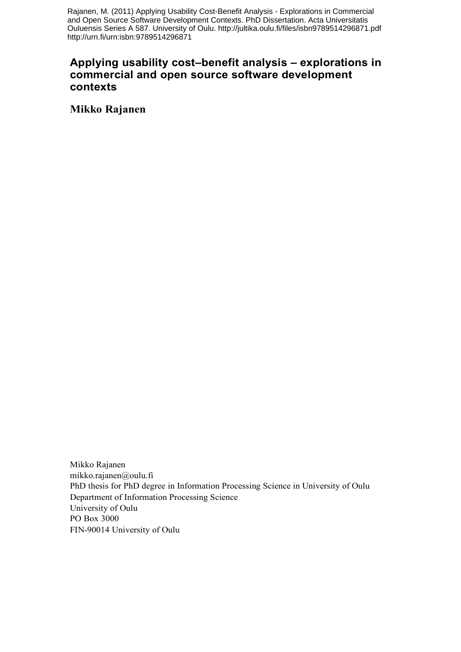Rajanen, M. (2011) Applying Usability Cost-Benefit Analysis - Explorations in Commercial and Open Source Software Development Contexts. PhD Dissertation. Acta Universitatis Ouluensis Series A 587. University of Oulu. http://jultika.oulu.fi/files/isbn9789514296871.pdf http://urn.fi/urn:isbn:9789514296871

# **Applying usability cost–benefit analysis – explorations in commercial and open source software development contexts**

**Mikko Rajanen**

Mikko Rajanen mikko.rajanen@oulu.fi PhD thesis for PhD degree in Information Processing Science in University of Oulu Department of Information Processing Science University of Oulu PO Box 3000 FIN-90014 University of Oulu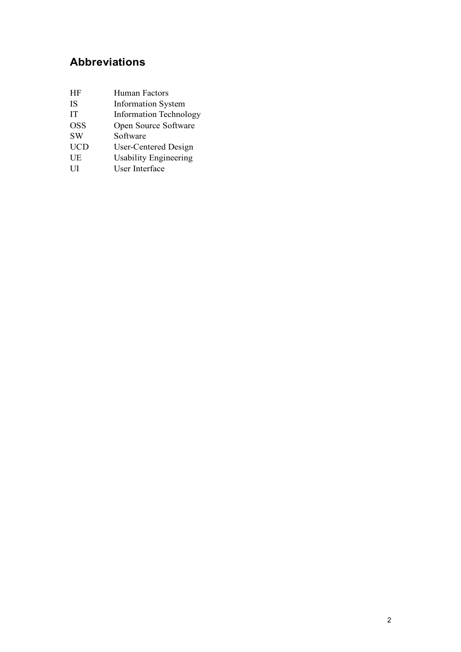# **Abbreviations**

| <b>HF</b>  | Human Factors                 |
|------------|-------------------------------|
| <b>IS</b>  | <b>Information System</b>     |
| <b>IT</b>  | <b>Information Technology</b> |
| <b>OSS</b> | Open Source Software          |
| <b>SW</b>  | Software                      |
| <b>UCD</b> | <b>User-Centered Design</b>   |
| UE         | <b>Usability Engineering</b>  |
| UП         | User Interface                |
|            |                               |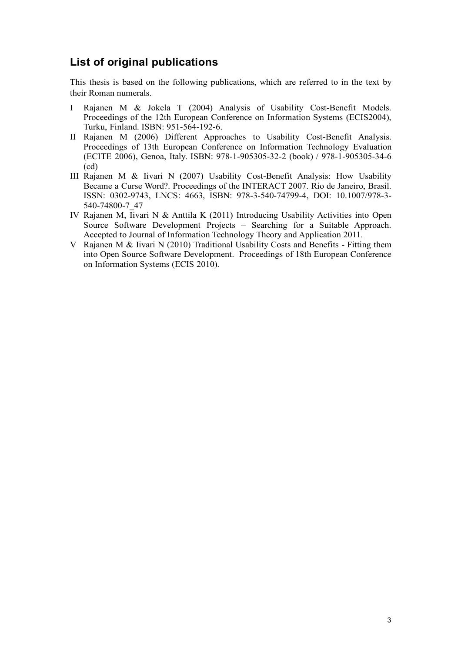# **List of original publications**

This thesis is based on the following publications, which are referred to in the text by their Roman numerals.

- I Rajanen M & Jokela T (2004) Analysis of Usability Cost-Benefit Models. Proceedings of the 12th European Conference on Information Systems (ECIS2004), Turku, Finland. ISBN: 951-564-192-6.
- II Rajanen M (2006) Different Approaches to Usability Cost-Benefit Analysis. Proceedings of 13th European Conference on Information Technology Evaluation (ECITE 2006), Genoa, Italy. ISBN: 978-1-905305-32-2 (book) / 978-1-905305-34-6 (cd)
- III Rajanen M & Iivari N (2007) Usability Cost-Benefit Analysis: How Usability Became a Curse Word?. Proceedings of the INTERACT 2007. Rio de Janeiro, Brasil. ISSN: 0302-9743, LNCS: 4663, ISBN: 978-3-540-74799-4, DOI: 10.1007/978-3- 540-74800-7\_47
- IV Rajanen M, Iivari N & Anttila K (2011) Introducing Usability Activities into Open Source Software Development Projects – Searching for a Suitable Approach. Accepted to Journal of Information Technology Theory and Application 2011.
- V Rajanen M & Iivari N (2010) Traditional Usability Costs and Benefits Fitting them into Open Source Software Development. Proceedings of 18th European Conference on Information Systems (ECIS 2010).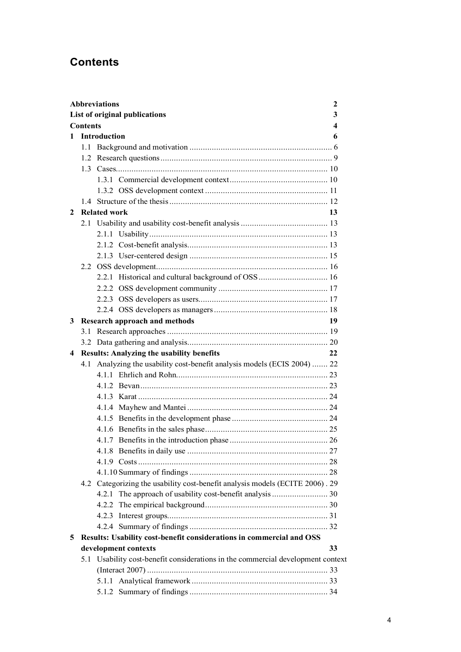# **Contents**

|   | <b>Abbreviations</b><br>$\mathbf{2}$ |                      |                                                                                 |    |  |  |  |
|---|--------------------------------------|----------------------|---------------------------------------------------------------------------------|----|--|--|--|
|   |                                      |                      | List of original publications                                                   | 3  |  |  |  |
|   | <b>Contents</b><br>4                 |                      |                                                                                 |    |  |  |  |
| 1 |                                      | Introduction         |                                                                                 | 6  |  |  |  |
|   |                                      |                      |                                                                                 |    |  |  |  |
|   |                                      |                      |                                                                                 |    |  |  |  |
|   |                                      |                      |                                                                                 |    |  |  |  |
|   |                                      |                      |                                                                                 |    |  |  |  |
|   |                                      |                      |                                                                                 |    |  |  |  |
|   |                                      |                      |                                                                                 |    |  |  |  |
| 2 |                                      | <b>Related work</b>  |                                                                                 | 13 |  |  |  |
|   |                                      |                      |                                                                                 |    |  |  |  |
|   |                                      |                      |                                                                                 |    |  |  |  |
|   |                                      |                      |                                                                                 |    |  |  |  |
|   |                                      |                      |                                                                                 |    |  |  |  |
|   |                                      |                      |                                                                                 |    |  |  |  |
|   |                                      |                      | 2.2.1 Historical and cultural background of OSS 16                              |    |  |  |  |
|   |                                      |                      |                                                                                 |    |  |  |  |
|   |                                      |                      |                                                                                 |    |  |  |  |
|   |                                      |                      |                                                                                 |    |  |  |  |
| 3 |                                      |                      | <b>Research approach and methods</b>                                            | 19 |  |  |  |
|   |                                      |                      |                                                                                 |    |  |  |  |
|   |                                      |                      |                                                                                 |    |  |  |  |
| 4 |                                      |                      | <b>Results: Analyzing the usability benefits</b>                                | 22 |  |  |  |
|   |                                      |                      | 4.1 Analyzing the usability cost-benefit analysis models (ECIS 2004)  22        |    |  |  |  |
|   |                                      |                      |                                                                                 |    |  |  |  |
|   |                                      |                      |                                                                                 |    |  |  |  |
|   |                                      |                      |                                                                                 |    |  |  |  |
|   |                                      |                      |                                                                                 |    |  |  |  |
|   |                                      |                      |                                                                                 |    |  |  |  |
|   |                                      |                      |                                                                                 |    |  |  |  |
|   |                                      |                      |                                                                                 |    |  |  |  |
|   |                                      |                      |                                                                                 |    |  |  |  |
|   |                                      |                      |                                                                                 |    |  |  |  |
|   |                                      |                      |                                                                                 |    |  |  |  |
|   |                                      |                      | 4.2 Categorizing the usability cost-benefit analysis models (ECITE 2006). 29    |    |  |  |  |
|   |                                      |                      |                                                                                 |    |  |  |  |
|   |                                      |                      |                                                                                 |    |  |  |  |
|   |                                      |                      |                                                                                 |    |  |  |  |
|   |                                      |                      |                                                                                 |    |  |  |  |
| 5 |                                      |                      | Results: Usability cost-benefit considerations in commercial and OSS            |    |  |  |  |
|   |                                      | development contexts |                                                                                 | 33 |  |  |  |
|   |                                      |                      | 5.1 Usability cost-benefit considerations in the commercial development context |    |  |  |  |
|   |                                      |                      |                                                                                 |    |  |  |  |
|   |                                      |                      |                                                                                 |    |  |  |  |
|   |                                      |                      |                                                                                 |    |  |  |  |
|   |                                      |                      |                                                                                 |    |  |  |  |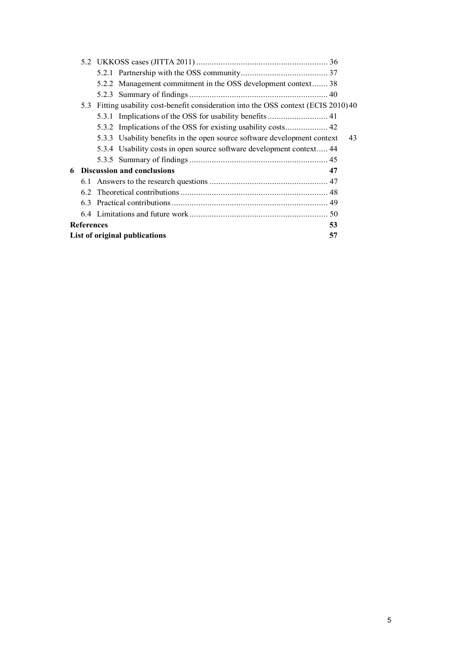|                   | 5.2.2 Management commitment in the OSS development context 38                       |    |    |
|-------------------|-------------------------------------------------------------------------------------|----|----|
|                   |                                                                                     |    |    |
|                   | 5.3 Fitting usability cost-benefit consideration into the OSS context (ECIS 2010)40 |    |    |
|                   |                                                                                     |    |    |
|                   |                                                                                     |    |    |
|                   | 5.3.3 Usability benefits in the open source software development context            |    | 43 |
|                   | 5.3.4 Usability costs in open source software development context 44                |    |    |
|                   |                                                                                     |    |    |
|                   | <b>6</b> Discussion and conclusions                                                 | 47 |    |
|                   |                                                                                     |    |    |
|                   |                                                                                     |    |    |
|                   |                                                                                     |    |    |
|                   |                                                                                     |    |    |
| <b>References</b> |                                                                                     | 53 |    |
|                   | List of original publications                                                       | 57 |    |
|                   |                                                                                     |    |    |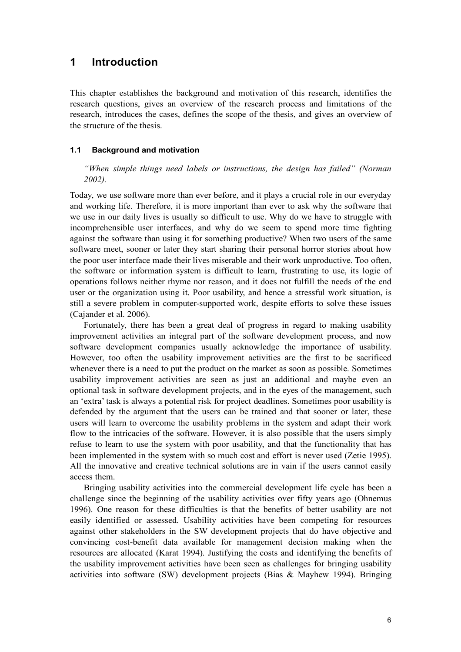# **1 Introduction**

This chapter establishes the background and motivation of this research, identifies the research questions, gives an overview of the research process and limitations of the research, introduces the cases, defines the scope of the thesis, and gives an overview of the structure of the thesis.

#### **1.1 Background and motivation**

*"When simple things need labels or instructions, the design has failed" (Norman 2002).*

Today, we use software more than ever before, and it plays a crucial role in our everyday and working life. Therefore, it is more important than ever to ask why the software that we use in our daily lives is usually so difficult to use. Why do we have to struggle with incomprehensible user interfaces, and why do we seem to spend more time fighting against the software than using it for something productive? When two users of the same software meet, sooner or later they start sharing their personal horror stories about how the poor user interface made their lives miserable and their work unproductive. Too often, the software or information system is difficult to learn, frustrating to use, its logic of operations follows neither rhyme nor reason, and it does not fulfill the needs of the end user or the organization using it. Poor usability, and hence a stressful work situation, is still a severe problem in computer-supported work, despite efforts to solve these issues (Cajander et al. 2006).

Fortunately, there has been a great deal of progress in regard to making usability improvement activities an integral part of the software development process, and now software development companies usually acknowledge the importance of usability. However, too often the usability improvement activities are the first to be sacrificed whenever there is a need to put the product on the market as soon as possible. Sometimes usability improvement activities are seen as just an additional and maybe even an optional task in software development projects, and in the eyes of the management, such an 'extra' task is always a potential risk for project deadlines. Sometimes poor usability is defended by the argument that the users can be trained and that sooner or later, these users will learn to overcome the usability problems in the system and adapt their work flow to the intricacies of the software. However, it is also possible that the users simply refuse to learn to use the system with poor usability, and that the functionality that has been implemented in the system with so much cost and effort is never used (Zetie 1995). All the innovative and creative technical solutions are in vain if the users cannot easily access them.

Bringing usability activities into the commercial development life cycle has been a challenge since the beginning of the usability activities over fifty years ago (Ohnemus 1996). One reason for these difficulties is that the benefits of better usability are not easily identified or assessed. Usability activities have been competing for resources against other stakeholders in the SW development projects that do have objective and convincing cost-benefit data available for management decision making when the resources are allocated (Karat 1994). Justifying the costs and identifying the benefits of the usability improvement activities have been seen as challenges for bringing usability activities into software (SW) development projects (Bias & Mayhew 1994). Bringing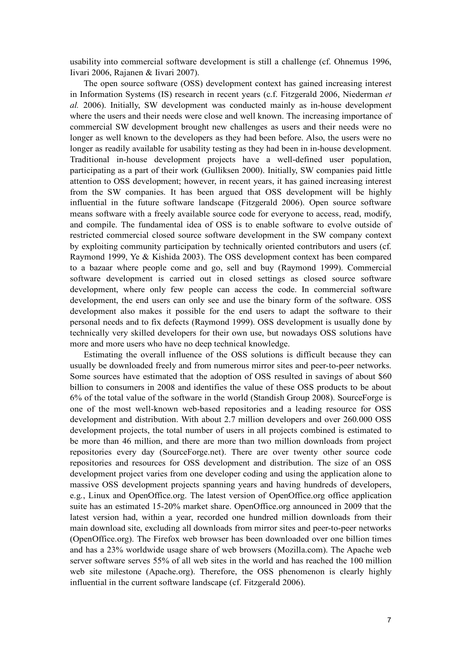usability into commercial software development is still a challenge (cf. Ohnemus 1996, Iivari 2006, Rajanen & Iivari 2007).

The open source software (OSS) development context has gained increasing interest in Information Systems (IS) research in recent years (c.f. Fitzgerald 2006, Niederman *et al.* 2006). Initially, SW development was conducted mainly as in-house development where the users and their needs were close and well known. The increasing importance of commercial SW development brought new challenges as users and their needs were no longer as well known to the developers as they had been before. Also, the users were no longer as readily available for usability testing as they had been in in-house development. Traditional in-house development projects have a well-defined user population, participating as a part of their work (Gulliksen 2000). Initially, SW companies paid little attention to OSS development; however, in recent years, it has gained increasing interest from the SW companies. It has been argued that OSS development will be highly influential in the future software landscape (Fitzgerald 2006). Open source software means software with a freely available source code for everyone to access, read, modify, and compile. The fundamental idea of OSS is to enable software to evolve outside of restricted commercial closed source software development in the SW company context by exploiting community participation by technically oriented contributors and users (cf. Raymond 1999, Ye & Kishida 2003). The OSS development context has been compared to a bazaar where people come and go, sell and buy (Raymond 1999). Commercial software development is carried out in closed settings as closed source software development, where only few people can access the code. In commercial software development, the end users can only see and use the binary form of the software. OSS development also makes it possible for the end users to adapt the software to their personal needs and to fix defects (Raymond 1999). OSS development is usually done by technically very skilled developers for their own use, but nowadays OSS solutions have more and more users who have no deep technical knowledge.

Estimating the overall influence of the OSS solutions is difficult because they can usually be downloaded freely and from numerous mirror sites and peer-to-peer networks. Some sources have estimated that the adoption of OSS resulted in savings of about \$60 billion to consumers in 2008 and identifies the value of these OSS products to be about 6% of the total value of the software in the world (Standish Group 2008). SourceForge is one of the most well-known web-based repositories and a leading resource for OSS development and distribution. With about 2.7 million developers and over 260.000 OSS development projects, the total number of users in all projects combined is estimated to be more than 46 million, and there are more than two million downloads from project repositories every day (SourceForge.net). There are over twenty other source code repositories and resources for OSS development and distribution. The size of an OSS development project varies from one developer coding and using the application alone to massive OSS development projects spanning years and having hundreds of developers, e.g., Linux and OpenOffice.org. The latest version of OpenOffice.org office application suite has an estimated 15-20% market share. OpenOffice.org announced in 2009 that the latest version had, within a year, recorded one hundred million downloads from their main download site, excluding all downloads from mirror sites and peer-to-peer networks (OpenOffice.org). The Firefox web browser has been downloaded over one billion times and has a 23% worldwide usage share of web browsers (Mozilla.com). The Apache web server software serves 55% of all web sites in the world and has reached the 100 million web site milestone (Apache.org). Therefore, the OSS phenomenon is clearly highly influential in the current software landscape (cf. Fitzgerald 2006).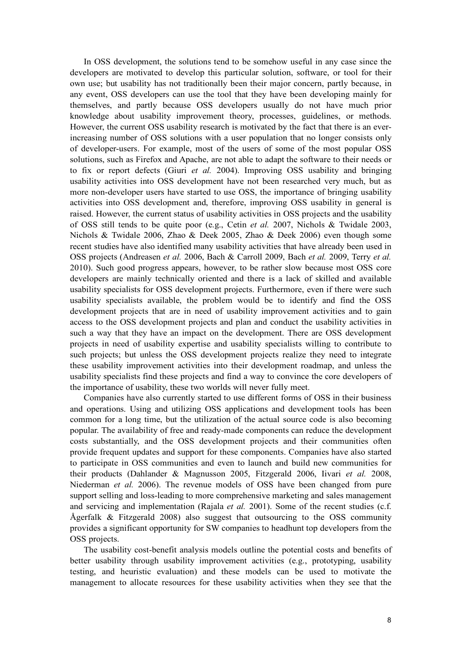In OSS development, the solutions tend to be somehow useful in any case since the developers are motivated to develop this particular solution, software, or tool for their own use; but usability has not traditionally been their major concern, partly because, in any event, OSS developers can use the tool that they have been developing mainly for themselves, and partly because OSS developers usually do not have much prior knowledge about usability improvement theory, processes, guidelines, or methods. However, the current OSS usability research is motivated by the fact that there is an everincreasing number of OSS solutions with a user population that no longer consists only of developer-users. For example, most of the users of some of the most popular OSS solutions, such as Firefox and Apache, are not able to adapt the software to their needs or to fix or report defects (Giuri *et al.* 2004). Improving OSS usability and bringing usability activities into OSS development have not been researched very much, but as more non-developer users have started to use OSS, the importance of bringing usability activities into OSS development and, therefore, improving OSS usability in general is raised. However, the current status of usability activities in OSS projects and the usability of OSS still tends to be quite poor (e.g., Cetin *et al.* 2007, Nichols & Twidale 2003, Nichols & Twidale 2006, Zhao & Deek 2005, Zhao & Deek 2006) even though some recent studies have also identified many usability activities that have already been used in OSS projects (Andreasen *et al.* 2006, Bach & Carroll 2009, Bach *et al.* 2009, Terry *et al.* 2010). Such good progress appears, however, to be rather slow because most OSS core developers are mainly technically oriented and there is a lack of skilled and available usability specialists for OSS development projects. Furthermore, even if there were such usability specialists available, the problem would be to identify and find the OSS development projects that are in need of usability improvement activities and to gain access to the OSS development projects and plan and conduct the usability activities in such a way that they have an impact on the development. There are OSS development projects in need of usability expertise and usability specialists willing to contribute to such projects; but unless the OSS development projects realize they need to integrate these usability improvement activities into their development roadmap, and unless the usability specialists find these projects and find a way to convince the core developers of the importance of usability, these two worlds will never fully meet.

Companies have also currently started to use different forms of OSS in their business and operations. Using and utilizing OSS applications and development tools has been common for a long time, but the utilization of the actual source code is also becoming popular. The availability of free and ready-made components can reduce the development costs substantially, and the OSS development projects and their communities often provide frequent updates and support for these components. Companies have also started to participate in OSS communities and even to launch and build new communities for their products (Dahlander & Magnusson 2005, Fitzgerald 2006, Iivari *et al.* 2008, Niederman *et al.* 2006). The revenue models of OSS have been changed from pure support selling and loss-leading to more comprehensive marketing and sales management and servicing and implementation (Rajala *et al.* 2001). Some of the recent studies (c.f. Ågerfalk & Fitzgerald 2008) also suggest that outsourcing to the OSS community provides a significant opportunity for SW companies to headhunt top developers from the OSS projects.

The usability cost-benefit analysis models outline the potential costs and benefits of better usability through usability improvement activities (e.g., prototyping, usability testing, and heuristic evaluation) and these models can be used to motivate the management to allocate resources for these usability activities when they see that the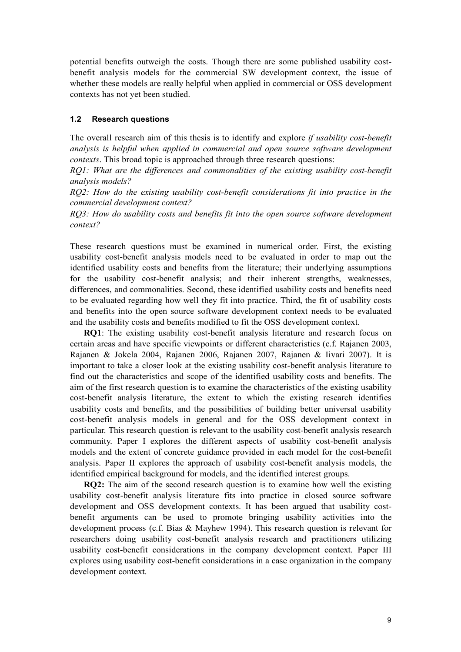potential benefits outweigh the costs. Though there are some published usability costbenefit analysis models for the commercial SW development context, the issue of whether these models are really helpful when applied in commercial or OSS development contexts has not yet been studied.

#### **1.2 Research questions**

The overall research aim of this thesis is to identify and explore *if usability cost-benefit analysis is helpful when applied in commercial and open source software development contexts*. This broad topic is approached through three research questions:

*RQ1: What are the differences and commonalities of the existing usability cost-benefit analysis models?*

*RQ2: How do the existing usability cost-benefit considerations fit into practice in the commercial development context?*

*RQ3: How do usability costs and benefits fit into the open source software development context?*

These research questions must be examined in numerical order. First, the existing usability cost-benefit analysis models need to be evaluated in order to map out the identified usability costs and benefits from the literature; their underlying assumptions for the usability cost-benefit analysis; and their inherent strengths, weaknesses, differences, and commonalities. Second, these identified usability costs and benefits need to be evaluated regarding how well they fit into practice. Third, the fit of usability costs and benefits into the open source software development context needs to be evaluated and the usability costs and benefits modified to fit the OSS development context.

**RQ1**: The existing usability cost-benefit analysis literature and research focus on certain areas and have specific viewpoints or different characteristics (c.f. Rajanen 2003, Rajanen & Jokela 2004, Rajanen 2006, Rajanen 2007, Rajanen & Iivari 2007). It is important to take a closer look at the existing usability cost-benefit analysis literature to find out the characteristics and scope of the identified usability costs and benefits. The aim of the first research question is to examine the characteristics of the existing usability cost-benefit analysis literature, the extent to which the existing research identifies usability costs and benefits, and the possibilities of building better universal usability cost-benefit analysis models in general and for the OSS development context in particular. This research question is relevant to the usability cost-benefit analysis research community. Paper I explores the different aspects of usability cost-benefit analysis models and the extent of concrete guidance provided in each model for the cost-benefit analysis. Paper II explores the approach of usability cost-benefit analysis models, the identified empirical background for models, and the identified interest groups.

**RQ2:** The aim of the second research question is to examine how well the existing usability cost-benefit analysis literature fits into practice in closed source software development and OSS development contexts. It has been argued that usability costbenefit arguments can be used to promote bringing usability activities into the development process (c.f. Bias & Mayhew 1994). This research question is relevant for researchers doing usability cost-benefit analysis research and practitioners utilizing usability cost-benefit considerations in the company development context. Paper III explores using usability cost-benefit considerations in a case organization in the company development context.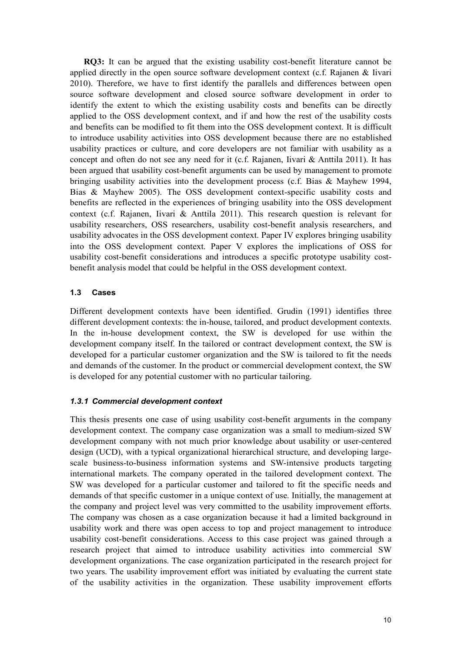**RQ3:** It can be argued that the existing usability cost-benefit literature cannot be applied directly in the open source software development context (c.f. Rajanen & Iivari 2010). Therefore, we have to first identify the parallels and differences between open source software development and closed source software development in order to identify the extent to which the existing usability costs and benefits can be directly applied to the OSS development context, and if and how the rest of the usability costs and benefits can be modified to fit them into the OSS development context. It is difficult to introduce usability activities into OSS development because there are no established usability practices or culture, and core developers are not familiar with usability as a concept and often do not see any need for it (c.f. Rajanen, Iivari & Anttila 2011). It has been argued that usability cost-benefit arguments can be used by management to promote bringing usability activities into the development process (c.f. Bias & Mayhew 1994, Bias & Mayhew 2005). The OSS development context-specific usability costs and benefits are reflected in the experiences of bringing usability into the OSS development context (c.f. Rajanen, Iivari & Anttila 2011). This research question is relevant for usability researchers, OSS researchers, usability cost-benefit analysis researchers, and usability advocates in the OSS development context. Paper IV explores bringing usability into the OSS development context. Paper V explores the implications of OSS for usability cost-benefit considerations and introduces a specific prototype usability costbenefit analysis model that could be helpful in the OSS development context.

## **1.3 Cases**

Different development contexts have been identified. Grudin (1991) identifies three different development contexts: the in-house, tailored, and product development contexts. In the in-house development context, the SW is developed for use within the development company itself. In the tailored or contract development context, the SW is developed for a particular customer organization and the SW is tailored to fit the needs and demands of the customer. In the product or commercial development context, the SW is developed for any potential customer with no particular tailoring.

#### *1.3.1 Commercial development context*

This thesis presents one case of using usability cost-benefit arguments in the company development context. The company case organization was a small to medium-sized SW development company with not much prior knowledge about usability or user-centered design (UCD), with a typical organizational hierarchical structure, and developing largescale business-to-business information systems and SW-intensive products targeting international markets. The company operated in the tailored development context. The SW was developed for a particular customer and tailored to fit the specific needs and demands of that specific customer in a unique context of use. Initially, the management at the company and project level was very committed to the usability improvement efforts. The company was chosen as a case organization because it had a limited background in usability work and there was open access to top and project management to introduce usability cost-benefit considerations. Access to this case project was gained through a research project that aimed to introduce usability activities into commercial SW development organizations. The case organization participated in the research project for two years. The usability improvement effort was initiated by evaluating the current state of the usability activities in the organization. These usability improvement efforts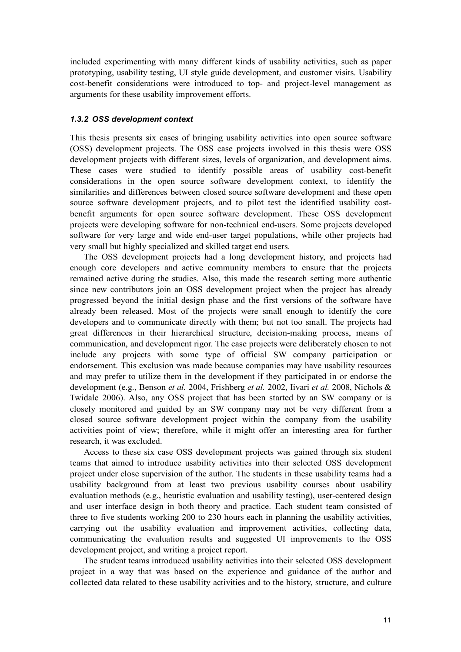included experimenting with many different kinds of usability activities, such as paper prototyping, usability testing, UI style guide development, and customer visits. Usability cost-benefit considerations were introduced to top- and project-level management as arguments for these usability improvement efforts.

#### *1.3.2 OSS development context*

This thesis presents six cases of bringing usability activities into open source software (OSS) development projects. The OSS case projects involved in this thesis were OSS development projects with different sizes, levels of organization, and development aims. These cases were studied to identify possible areas of usability cost-benefit considerations in the open source software development context, to identify the similarities and differences between closed source software development and these open source software development projects, and to pilot test the identified usability costbenefit arguments for open source software development. These OSS development projects were developing software for non-technical end-users. Some projects developed software for very large and wide end-user target populations, while other projects had very small but highly specialized and skilled target end users.

The OSS development projects had a long development history, and projects had enough core developers and active community members to ensure that the projects remained active during the studies. Also, this made the research setting more authentic since new contributors join an OSS development project when the project has already progressed beyond the initial design phase and the first versions of the software have already been released. Most of the projects were small enough to identify the core developers and to communicate directly with them; but not too small. The projects had great differences in their hierarchical structure, decision-making process, means of communication, and development rigor. The case projects were deliberately chosen to not include any projects with some type of official SW company participation or endorsement. This exclusion was made because companies may have usability resources and may prefer to utilize them in the development if they participated in or endorse the development (e.g., Benson *et al.* 2004, Frishberg *et al.* 2002, Iivari *et al.* 2008, Nichols & Twidale 2006). Also, any OSS project that has been started by an SW company or is closely monitored and guided by an SW company may not be very different from a closed source software development project within the company from the usability activities point of view; therefore, while it might offer an interesting area for further research, it was excluded.

Access to these six case OSS development projects was gained through six student teams that aimed to introduce usability activities into their selected OSS development project under close supervision of the author. The students in these usability teams had a usability background from at least two previous usability courses about usability evaluation methods (e.g., heuristic evaluation and usability testing), user-centered design and user interface design in both theory and practice. Each student team consisted of three to five students working 200 to 230 hours each in planning the usability activities, carrying out the usability evaluation and improvement activities, collecting data, communicating the evaluation results and suggested UI improvements to the OSS development project, and writing a project report.

The student teams introduced usability activities into their selected OSS development project in a way that was based on the experience and guidance of the author and collected data related to these usability activities and to the history, structure, and culture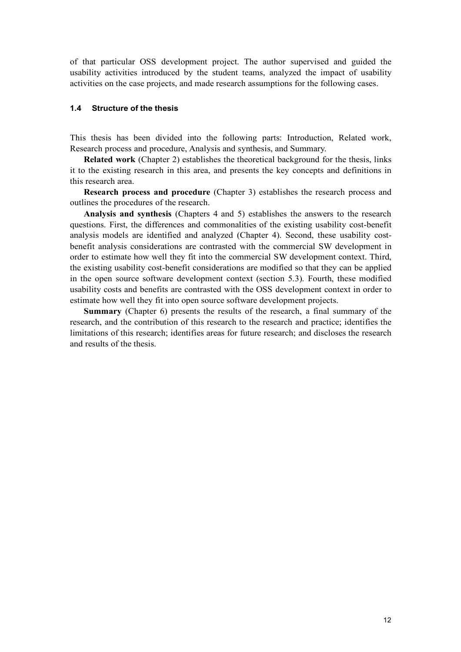of that particular OSS development project. The author supervised and guided the usability activities introduced by the student teams, analyzed the impact of usability activities on the case projects, and made research assumptions for the following cases.

### **1.4 Structure of the thesis**

This thesis has been divided into the following parts: Introduction, Related work, Research process and procedure, Analysis and synthesis, and Summary.

**Related work** (Chapter 2) establishes the theoretical background for the thesis, links it to the existing research in this area, and presents the key concepts and definitions in this research area.

**Research process and procedure** (Chapter 3) establishes the research process and outlines the procedures of the research.

**Analysis and synthesis** (Chapters 4 and 5) establishes the answers to the research questions. First, the differences and commonalities of the existing usability cost-benefit analysis models are identified and analyzed (Chapter 4). Second, these usability costbenefit analysis considerations are contrasted with the commercial SW development in order to estimate how well they fit into the commercial SW development context. Third, the existing usability cost-benefit considerations are modified so that they can be applied in the open source software development context (section 5.3). Fourth, these modified usability costs and benefits are contrasted with the OSS development context in order to estimate how well they fit into open source software development projects.

**Summary** (Chapter 6) presents the results of the research, a final summary of the research, and the contribution of this research to the research and practice; identifies the limitations of this research; identifies areas for future research; and discloses the research and results of the thesis.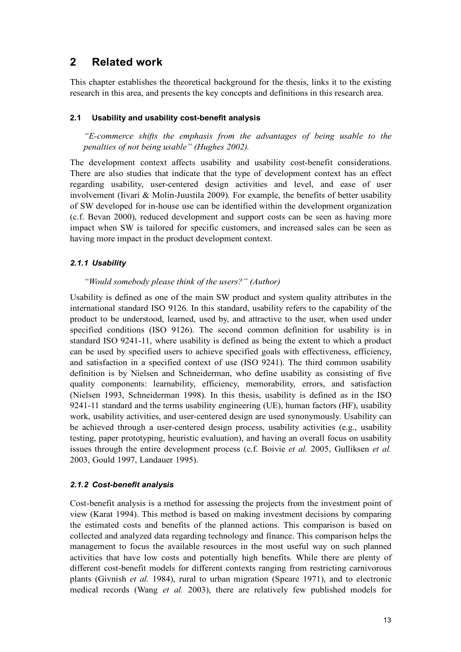# **2 Related work**

This chapter establishes the theoretical background for the thesis, links it to the existing research in this area, and presents the key concepts and definitions in this research area.

### **2.1 Usability and usability cost-benefit analysis**

*"E-commerce shifts the emphasis from the advantages of being usable to the penalties of not being usable" (Hughes 2002).*

The development context affects usability and usability cost-benefit considerations. There are also studies that indicate that the type of development context has an effect regarding usability, user-centered design activities and level, and ease of user involvement (Iivari & Molin-Juustila 2009). For example, the benefits of better usability of SW developed for in-house use can be identified within the development organization (c.f. Bevan 2000), reduced development and support costs can be seen as having more impact when SW is tailored for specific customers, and increased sales can be seen as having more impact in the product development context.

# *2.1.1 Usability*

#### *"Would somebody please think of the users?" (Author)*

Usability is defined as one of the main SW product and system quality attributes in the international standard ISO 9126. In this standard, usability refers to the capability of the product to be understood, learned, used by, and attractive to the user, when used under specified conditions (ISO 9126). The second common definition for usability is in standard ISO 9241-11, where usability is defined as being the extent to which a product can be used by specified users to achieve specified goals with effectiveness, efficiency, and satisfaction in a specified context of use (ISO 9241). The third common usability definition is by Nielsen and Schneiderman, who define usability as consisting of five quality components: learnability, efficiency, memorability, errors, and satisfaction (Nielsen 1993, Schneiderman 1998). In this thesis, usability is defined as in the ISO 9241-11 standard and the terms usability engineering (UE), human factors (HF), usability work, usability activities, and user-centered design are used synonymously. Usability can be achieved through a user-centered design process, usability activities (e.g., usability testing, paper prototyping, heuristic evaluation), and having an overall focus on usability issues through the entire development process (c.f. Boivie *et al.* 2005, Gulliksen *et al.* 2003, Gould 1997, Landauer 1995).

#### *2.1.2 Cost-benefit analysis*

Cost-benefit analysis is a method for assessing the projects from the investment point of view (Karat 1994). This method is based on making investment decisions by comparing the estimated costs and benefits of the planned actions. This comparison is based on collected and analyzed data regarding technology and finance. This comparison helps the management to focus the available resources in the most useful way on such planned activities that have low costs and potentially high benefits. While there are plenty of different cost-benefit models for different contexts ranging from restricting carnivorous plants (Givnish *et al.* 1984), rural to urban migration (Speare 1971), and to electronic medical records (Wang *et al.* 2003), there are relatively few published models for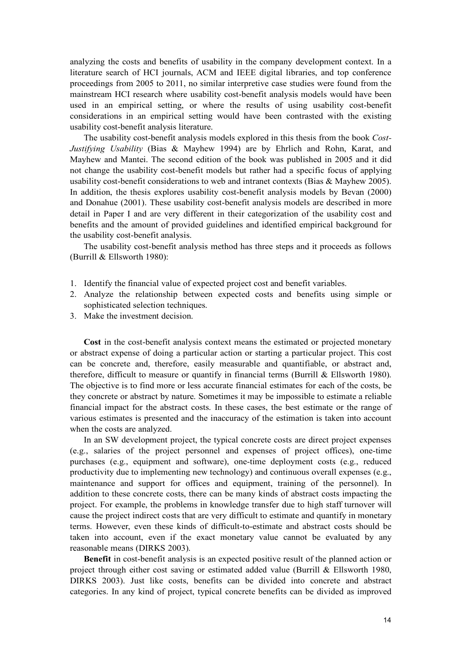analyzing the costs and benefits of usability in the company development context. In a literature search of HCI journals, ACM and IEEE digital libraries, and top conference proceedings from 2005 to 2011, no similar interpretive case studies were found from the mainstream HCI research where usability cost-benefit analysis models would have been used in an empirical setting, or where the results of using usability cost-benefit considerations in an empirical setting would have been contrasted with the existing usability cost-benefit analysis literature.

The usability cost-benefit analysis models explored in this thesis from the book *Cost-Justifying Usability* (Bias & Mayhew 1994) are by Ehrlich and Rohn, Karat, and Mayhew and Mantei. The second edition of the book was published in 2005 and it did not change the usability cost-benefit models but rather had a specific focus of applying usability cost-benefit considerations to web and intranet contexts (Bias & Mayhew 2005). In addition, the thesis explores usability cost-benefit analysis models by Bevan (2000) and Donahue (2001). These usability cost-benefit analysis models are described in more detail in Paper I and are very different in their categorization of the usability cost and benefits and the amount of provided guidelines and identified empirical background for the usability cost-benefit analysis.

The usability cost-benefit analysis method has three steps and it proceeds as follows (Burrill & Ellsworth 1980):

- 1. Identify the financial value of expected project cost and benefit variables.
- 2. Analyze the relationship between expected costs and benefits using simple or sophisticated selection techniques.
- 3. Make the investment decision.

**Cost** in the cost-benefit analysis context means the estimated or projected monetary or abstract expense of doing a particular action or starting a particular project. This cost can be concrete and, therefore, easily measurable and quantifiable, or abstract and, therefore, difficult to measure or quantify in financial terms (Burrill & Ellsworth 1980). The objective is to find more or less accurate financial estimates for each of the costs, be they concrete or abstract by nature. Sometimes it may be impossible to estimate a reliable financial impact for the abstract costs. In these cases, the best estimate or the range of various estimates is presented and the inaccuracy of the estimation is taken into account when the costs are analyzed.

In an SW development project, the typical concrete costs are direct project expenses (e.g., salaries of the project personnel and expenses of project offices), one-time purchases (e.g., equipment and software), one-time deployment costs (e.g., reduced productivity due to implementing new technology) and continuous overall expenses (e.g., maintenance and support for offices and equipment, training of the personnel). In addition to these concrete costs, there can be many kinds of abstract costs impacting the project. For example, the problems in knowledge transfer due to high staff turnover will cause the project indirect costs that are very difficult to estimate and quantify in monetary terms. However, even these kinds of difficult-to-estimate and abstract costs should be taken into account, even if the exact monetary value cannot be evaluated by any reasonable means (DIRKS 2003).

**Benefit** in cost-benefit analysis is an expected positive result of the planned action or project through either cost saving or estimated added value (Burrill & Ellsworth 1980, DIRKS 2003). Just like costs, benefits can be divided into concrete and abstract categories. In any kind of project, typical concrete benefits can be divided as improved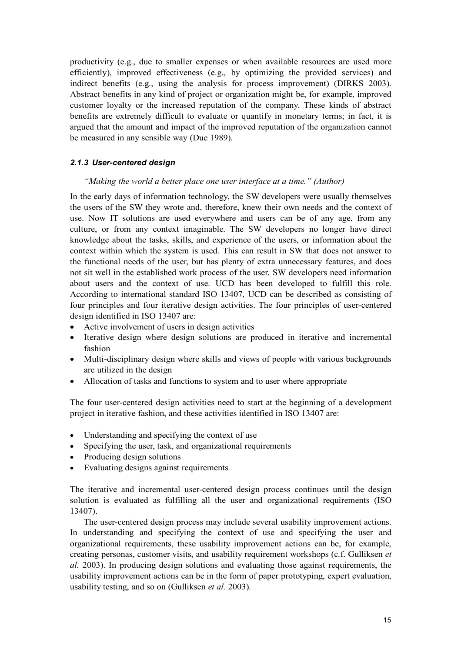productivity (e.g., due to smaller expenses or when available resources are used more efficiently), improved effectiveness (e.g., by optimizing the provided services) and indirect benefits (e.g., using the analysis for process improvement) (DIRKS 2003). Abstract benefits in any kind of project or organization might be, for example, improved customer loyalty or the increased reputation of the company. These kinds of abstract benefits are extremely difficult to evaluate or quantify in monetary terms; in fact, it is argued that the amount and impact of the improved reputation of the organization cannot be measured in any sensible way (Due 1989).

### *2.1.3 User-centered design*

#### *"Making the world a better place one user interface at a time." (Author)*

In the early days of information technology, the SW developers were usually themselves the users of the SW they wrote and, therefore, knew their own needs and the context of use. Now IT solutions are used everywhere and users can be of any age, from any culture, or from any context imaginable. The SW developers no longer have direct knowledge about the tasks, skills, and experience of the users, or information about the context within which the system is used. This can result in SW that does not answer to the functional needs of the user, but has plenty of extra unnecessary features, and does not sit well in the established work process of the user. SW developers need information about users and the context of use. UCD has been developed to fulfill this role. According to international standard ISO 13407, UCD can be described as consisting of four principles and four iterative design activities. The four principles of user-centered design identified in ISO 13407 are:

- Active involvement of users in design activities
- Iterative design where design solutions are produced in iterative and incremental fashion
- Multi-disciplinary design where skills and views of people with various backgrounds are utilized in the design
- Allocation of tasks and functions to system and to user where appropriate

The four user-centered design activities need to start at the beginning of a development project in iterative fashion, and these activities identified in ISO 13407 are:

- Understanding and specifying the context of use
- Specifying the user, task, and organizational requirements
- Producing design solutions
- Evaluating designs against requirements

The iterative and incremental user-centered design process continues until the design solution is evaluated as fulfilling all the user and organizational requirements (ISO 13407).

The user-centered design process may include several usability improvement actions. In understanding and specifying the context of use and specifying the user and organizational requirements, these usability improvement actions can be, for example, creating personas, customer visits, and usability requirement workshops (c.f. Gulliksen *et al.* 2003). In producing design solutions and evaluating those against requirements, the usability improvement actions can be in the form of paper prototyping, expert evaluation, usability testing, and so on (Gulliksen *et al.* 2003).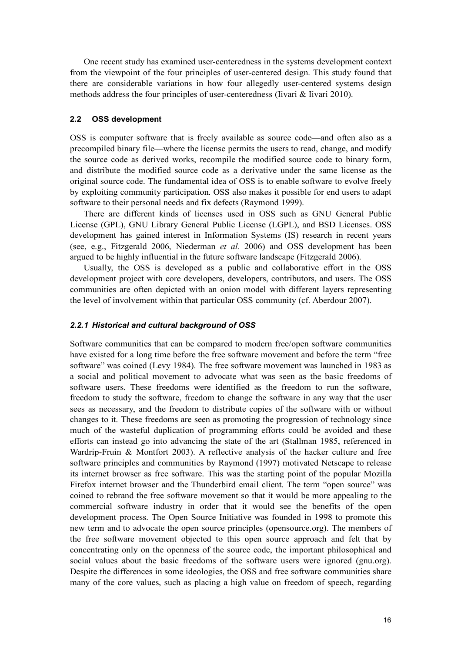One recent study has examined user-centeredness in the systems development context from the viewpoint of the four principles of user-centered design. This study found that there are considerable variations in how four allegedly user-centered systems design methods address the four principles of user-centeredness (Iivari & Iivari 2010).

#### **2.2 OSS development**

OSS is computer software that is freely available as source code—and often also as a precompiled binary file—where the license permits the users to read, change, and modify the source code as derived works, recompile the modified source code to binary form, and distribute the modified source code as a derivative under the same license as the original source code. The fundamental idea of OSS is to enable software to evolve freely by exploiting community participation. OSS also makes it possible for end users to adapt software to their personal needs and fix defects (Raymond 1999).

There are different kinds of licenses used in OSS such as GNU General Public License (GPL), GNU Library General Public License (LGPL), and BSD Licenses. OSS development has gained interest in Information Systems (IS) research in recent years (see, e.g., Fitzgerald 2006, Niederman *et al.* 2006) and OSS development has been argued to be highly influential in the future software landscape (Fitzgerald 2006).

Usually, the OSS is developed as a public and collaborative effort in the OSS development project with core developers, developers, contributors, and users. The OSS communities are often depicted with an onion model with different layers representing the level of involvement within that particular OSS community (cf. Aberdour 2007).

#### *2.2.1 Historical and cultural background of OSS*

Software communities that can be compared to modern free/open software communities have existed for a long time before the free software movement and before the term "free software" was coined (Levy 1984). The free software movement was launched in 1983 as a social and political movement to advocate what was seen as the basic freedoms of software users. These freedoms were identified as the freedom to run the software, freedom to study the software, freedom to change the software in any way that the user sees as necessary, and the freedom to distribute copies of the software with or without changes to it. These freedoms are seen as promoting the progression of technology since much of the wasteful duplication of programming efforts could be avoided and these efforts can instead go into advancing the state of the art (Stallman 1985, referenced in Wardrip-Fruin & Montfort 2003). A reflective analysis of the hacker culture and free software principles and communities by Raymond (1997) motivated Netscape to release its internet browser as free software. This was the starting point of the popular Mozilla Firefox internet browser and the Thunderbird email client. The term "open source" was coined to rebrand the free software movement so that it would be more appealing to the commercial software industry in order that it would see the benefits of the open development process. The Open Source Initiative was founded in 1998 to promote this new term and to advocate the open source principles (opensource.org). The members of the free software movement objected to this open source approach and felt that by concentrating only on the openness of the source code, the important philosophical and social values about the basic freedoms of the software users were ignored (gnu.org). Despite the differences in some ideologies, the OSS and free software communities share many of the core values, such as placing a high value on freedom of speech, regarding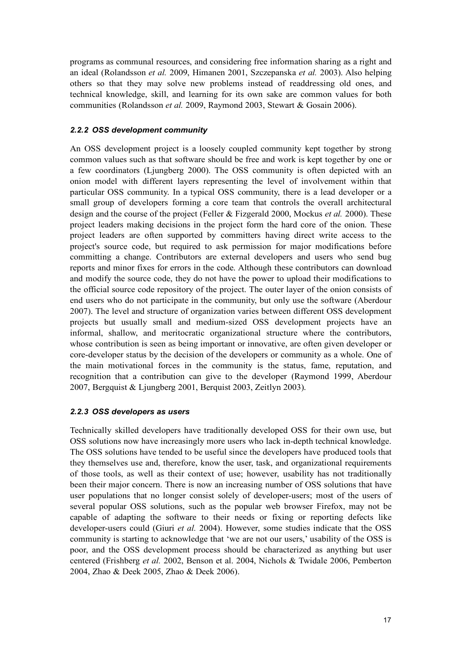programs as communal resources, and considering free information sharing as a right and an ideal (Rolandsson *et al.* 2009, Himanen 2001, Szczepanska *et al.* 2003). Also helping others so that they may solve new problems instead of readdressing old ones, and technical knowledge, skill, and learning for its own sake are common values for both communities (Rolandsson *et al.* 2009, Raymond 2003, Stewart & Gosain 2006).

## *2.2.2 OSS development community*

An OSS development project is a loosely coupled community kept together by strong common values such as that software should be free and work is kept together by one or a few coordinators (Ljungberg 2000). The OSS community is often depicted with an onion model with different layers representing the level of involvement within that particular OSS community. In a typical OSS community, there is a lead developer or a small group of developers forming a core team that controls the overall architectural design and the course of the project (Feller & Fizgerald 2000, Mockus *et al.* 2000). These project leaders making decisions in the project form the hard core of the onion. These project leaders are often supported by committers having direct write access to the project's source code, but required to ask permission for major modifications before committing a change. Contributors are external developers and users who send bug reports and minor fixes for errors in the code. Although these contributors can download and modify the source code, they do not have the power to upload their modifications to the official source code repository of the project. The outer layer of the onion consists of end users who do not participate in the community, but only use the software (Aberdour 2007). The level and structure of organization varies between different OSS development projects but usually small and medium-sized OSS development projects have an informal, shallow, and meritocratic organizational structure where the contributors, whose contribution is seen as being important or innovative, are often given developer or core-developer status by the decision of the developers or community as a whole. One of the main motivational forces in the community is the status, fame, reputation, and recognition that a contribution can give to the developer (Raymond 1999, Aberdour 2007, Bergquist & Ljungberg 2001, Berquist 2003, Zeitlyn 2003).

# *2.2.3 OSS developers as users*

Technically skilled developers have traditionally developed OSS for their own use, but OSS solutions now have increasingly more users who lack in-depth technical knowledge. The OSS solutions have tended to be useful since the developers have produced tools that they themselves use and, therefore, know the user, task, and organizational requirements of those tools, as well as their context of use; however, usability has not traditionally been their major concern. There is now an increasing number of OSS solutions that have user populations that no longer consist solely of developer-users; most of the users of several popular OSS solutions, such as the popular web browser Firefox, may not be capable of adapting the software to their needs or fixing or reporting defects like developer-users could (Giuri *et al.* 2004). However, some studies indicate that the OSS community is starting to acknowledge that 'we are not our users,' usability of the OSS is poor, and the OSS development process should be characterized as anything but user centered (Frishberg *et al.* 2002, Benson et al. 2004, Nichols & Twidale 2006, Pemberton 2004, Zhao & Deek 2005, Zhao & Deek 2006).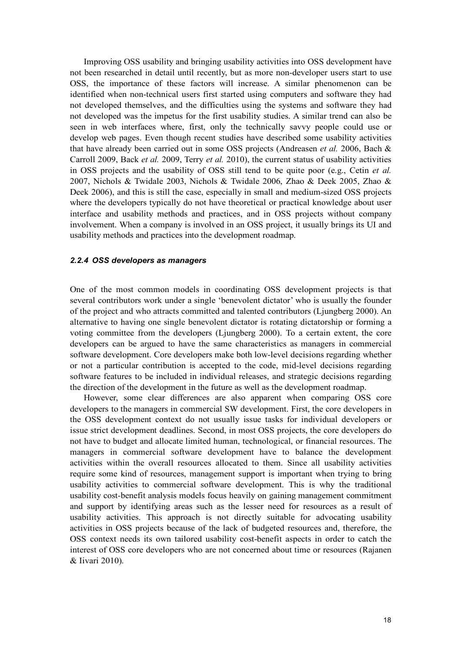Improving OSS usability and bringing usability activities into OSS development have not been researched in detail until recently, but as more non-developer users start to use OSS, the importance of these factors will increase. A similar phenomenon can be identified when non-technical users first started using computers and software they had not developed themselves, and the difficulties using the systems and software they had not developed was the impetus for the first usability studies. A similar trend can also be seen in web interfaces where, first, only the technically savvy people could use or develop web pages. Even though recent studies have described some usability activities that have already been carried out in some OSS projects (Andreasen *et al.* 2006, Bach & Carroll 2009, Back *et al.* 2009, Terry *et al.* 2010), the current status of usability activities in OSS projects and the usability of OSS still tend to be quite poor (e.g., Cetin *et al.* 2007, Nichols & Twidale 2003, Nichols & Twidale 2006, Zhao & Deek 2005, Zhao & Deek 2006), and this is still the case, especially in small and medium-sized OSS projects where the developers typically do not have theoretical or practical knowledge about user interface and usability methods and practices, and in OSS projects without company involvement. When a company is involved in an OSS project, it usually brings its UI and usability methods and practices into the development roadmap.

#### *2.2.4 OSS developers as managers*

One of the most common models in coordinating OSS development projects is that several contributors work under a single 'benevolent dictator' who is usually the founder of the project and who attracts committed and talented contributors (Ljungberg 2000). An alternative to having one single benevolent dictator is rotating dictatorship or forming a voting committee from the developers (Ljungberg 2000). To a certain extent, the core developers can be argued to have the same characteristics as managers in commercial software development. Core developers make both low-level decisions regarding whether or not a particular contribution is accepted to the code, mid-level decisions regarding software features to be included in individual releases, and strategic decisions regarding the direction of the development in the future as well as the development roadmap.

However, some clear differences are also apparent when comparing OSS core developers to the managers in commercial SW development. First, the core developers in the OSS development context do not usually issue tasks for individual developers or issue strict development deadlines. Second, in most OSS projects, the core developers do not have to budget and allocate limited human, technological, or financial resources. The managers in commercial software development have to balance the development activities within the overall resources allocated to them. Since all usability activities require some kind of resources, management support is important when trying to bring usability activities to commercial software development. This is why the traditional usability cost-benefit analysis models focus heavily on gaining management commitment and support by identifying areas such as the lesser need for resources as a result of usability activities. This approach is not directly suitable for advocating usability activities in OSS projects because of the lack of budgeted resources and, therefore, the OSS context needs its own tailored usability cost-benefit aspects in order to catch the interest of OSS core developers who are not concerned about time or resources (Rajanen & Iivari 2010).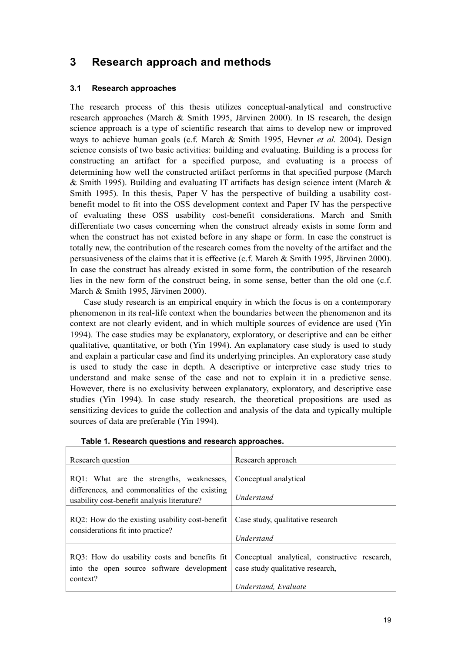# **3 Research approach and methods**

## **3.1 Research approaches**

The research process of this thesis utilizes conceptual-analytical and constructive research approaches (March & Smith 1995, Järvinen 2000). In IS research, the design science approach is a type of scientific research that aims to develop new or improved ways to achieve human goals (c.f. March & Smith 1995, Hevner *et al.* 2004). Design science consists of two basic activities: building and evaluating. Building is a process for constructing an artifact for a specified purpose, and evaluating is a process of determining how well the constructed artifact performs in that specified purpose (March & Smith 1995). Building and evaluating IT artifacts has design science intent (March & Smith 1995). In this thesis, Paper V has the perspective of building a usability costbenefit model to fit into the OSS development context and Paper IV has the perspective of evaluating these OSS usability cost-benefit considerations. March and Smith differentiate two cases concerning when the construct already exists in some form and when the construct has not existed before in any shape or form. In case the construct is totally new, the contribution of the research comes from the novelty of the artifact and the persuasiveness of the claims that it is effective (c.f. March & Smith 1995, Järvinen 2000). In case the construct has already existed in some form, the contribution of the research lies in the new form of the construct being, in some sense, better than the old one (c.f. March & Smith 1995, Järvinen 2000).

Case study research is an empirical enquiry in which the focus is on a contemporary phenomenon in its real-life context when the boundaries between the phenomenon and its context are not clearly evident, and in which multiple sources of evidence are used (Yin 1994). The case studies may be explanatory, exploratory, or descriptive and can be either qualitative, quantitative, or both (Yin 1994). An explanatory case study is used to study and explain a particular case and find its underlying principles. An exploratory case study is used to study the case in depth. A descriptive or interpretive case study tries to understand and make sense of the case and not to explain it in a predictive sense. However, there is no exclusivity between explanatory, exploratory, and descriptive case studies (Yin 1994). In case study research, the theoretical propositions are used as sensitizing devices to guide the collection and analysis of the data and typically multiple sources of data are preferable (Yin 1994).

| Research question                                                                                     | Research approach                                                                 |
|-------------------------------------------------------------------------------------------------------|-----------------------------------------------------------------------------------|
| RQ1: What are the strengths, weaknesses,                                                              | Conceptual analytical                                                             |
| differences, and commonalities of the existing<br>usability cost-benefit analysis literature?         | Understand                                                                        |
|                                                                                                       |                                                                                   |
| RO2: How do the existing usability cost-benefit                                                       | Case study, qualitative research                                                  |
| considerations fit into practice?                                                                     | Understand                                                                        |
| RQ3: How do usability costs and benefits fit<br>into the open source software development<br>context? | Conceptual analytical, constructive research,<br>case study qualitative research. |
|                                                                                                       | Understand, Evaluate                                                              |

| Table 1. Research questions and research approaches. |  |  |
|------------------------------------------------------|--|--|
|                                                      |  |  |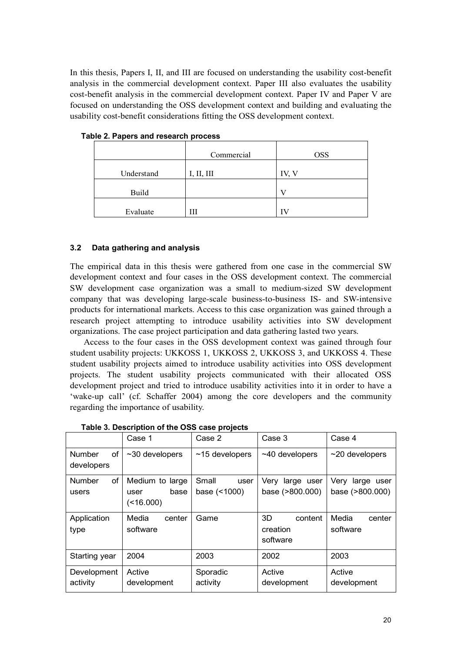In this thesis, Papers I, II, and III are focused on understanding the usability cost-benefit analysis in the commercial development context. Paper III also evaluates the usability cost-benefit analysis in the commercial development context. Paper IV and Paper V are focused on understanding the OSS development context and building and evaluating the usability cost-benefit considerations fitting the OSS development context.

|              | Commercial | <b>OSS</b> |
|--------------|------------|------------|
| Understand   | I, II, III | IV, V      |
| <b>Build</b> |            |            |
| Evaluate     | ΊI         | īV         |

**Table 2. Papers and research process**

## **3.2 Data gathering and analysis**

The empirical data in this thesis were gathered from one case in the commercial SW development context and four cases in the OSS development context. The commercial SW development case organization was a small to medium-sized SW development company that was developing large-scale business-to-business IS- and SW-intensive products for international markets. Access to this case organization was gained through a research project attempting to introduce usability activities into SW development organizations. The case project participation and data gathering lasted two years.

Access to the four cases in the OSS development context was gained through four student usability projects: UKKOSS 1, UKKOSS 2, UKKOSS 3, and UKKOSS 4. These student usability projects aimed to introduce usability activities into OSS development projects. The student usability projects communicated with their allocated OSS development project and tried to introduce usability activities into it in order to have a 'wake-up call' (cf. Schaffer 2004) among the core developers and the community regarding the importance of usability.

|                                   | Case 1                                           | Case 2                        | Case 3                                | Case 4                                |
|-----------------------------------|--------------------------------------------------|-------------------------------|---------------------------------------|---------------------------------------|
| of<br><b>Number</b><br>developers | $~1$ -30 developers                              | $~15$ developers              | $~10$ developers                      | $~20$ developers                      |
| Number<br>οf<br>users             | Medium to large<br>base<br>user<br>$($ < 16.000) | Small<br>user<br>base (<1000) | Very<br>large user<br>base (>800.000) | Verv<br>large user<br>base (>800.000) |
| Application<br>type               | Media<br>center<br>software                      | Game                          | 3D<br>content<br>creation<br>software | Media<br>center<br>software           |
| Starting year                     | 2004                                             | 2003                          | 2002                                  | 2003                                  |
| Development<br>activity           | Active<br>development                            | Sporadic<br>activity          | Active<br>development                 | Active<br>development                 |

**Table 3. Description of the OSS case projects**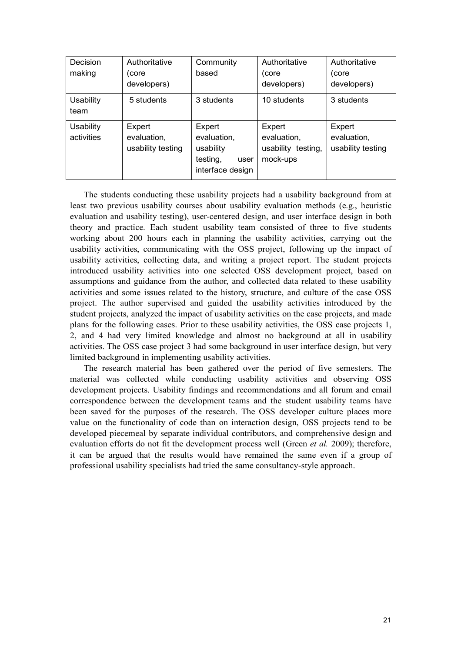| Decision<br>making             | Authoritative<br>(core<br>developers)      | Community<br>based                                                         | Authoritative<br>(core<br>developers)                   | Authoritative<br>core)<br>developers)      |
|--------------------------------|--------------------------------------------|----------------------------------------------------------------------------|---------------------------------------------------------|--------------------------------------------|
| Usability<br>team              | 5 students                                 | 3 students                                                                 | 10 students                                             | 3 students                                 |
| <b>Usability</b><br>activities | Expert<br>evaluation,<br>usability testing | Expert<br>evaluation,<br>usability<br>testing,<br>user<br>interface design | Expert<br>evaluation,<br>usability testing,<br>mock-ups | Expert<br>evaluation,<br>usability testing |

The students conducting these usability projects had a usability background from at least two previous usability courses about usability evaluation methods (e.g., heuristic evaluation and usability testing), user-centered design, and user interface design in both theory and practice. Each student usability team consisted of three to five students working about 200 hours each in planning the usability activities, carrying out the usability activities, communicating with the OSS project, following up the impact of usability activities, collecting data, and writing a project report. The student projects introduced usability activities into one selected OSS development project, based on assumptions and guidance from the author, and collected data related to these usability activities and some issues related to the history, structure, and culture of the case OSS project. The author supervised and guided the usability activities introduced by the student projects, analyzed the impact of usability activities on the case projects, and made plans for the following cases. Prior to these usability activities, the OSS case projects 1, 2, and 4 had very limited knowledge and almost no background at all in usability activities. The OSS case project 3 had some background in user interface design, but very limited background in implementing usability activities.

The research material has been gathered over the period of five semesters. The material was collected while conducting usability activities and observing OSS development projects. Usability findings and recommendations and all forum and email correspondence between the development teams and the student usability teams have been saved for the purposes of the research. The OSS developer culture places more value on the functionality of code than on interaction design, OSS projects tend to be developed piecemeal by separate individual contributors, and comprehensive design and evaluation efforts do not fit the development process well (Green *et al.* 2009); therefore, it can be argued that the results would have remained the same even if a group of professional usability specialists had tried the same consultancy-style approach.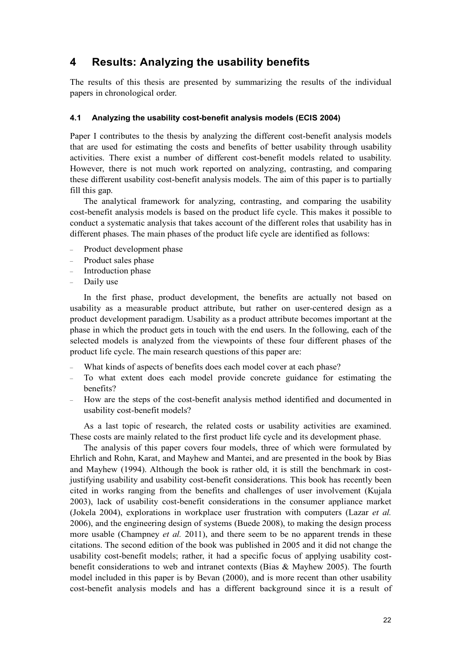# **4 Results: Analyzing the usability benefits**

The results of this thesis are presented by summarizing the results of the individual papers in chronological order.

## **4.1 Analyzing the usability cost-benefit analysis models (ECIS 2004)**

Paper I contributes to the thesis by analyzing the different cost-benefit analysis models that are used for estimating the costs and benefits of better usability through usability activities. There exist a number of different cost-benefit models related to usability. However, there is not much work reported on analyzing, contrasting, and comparing these different usability cost-benefit analysis models. The aim of this paper is to partially fill this gap.

The analytical framework for analyzing, contrasting, and comparing the usability cost-benefit analysis models is based on the product life cycle. This makes it possible to conduct a systematic analysis that takes account of the different roles that usability has in different phases. The main phases of the product life cycle are identified as follows:

- Product development phase
- Product sales phase
- Introduction phase
- Daily use

In the first phase, product development, the benefits are actually not based on usability as a measurable product attribute, but rather on user-centered design as a product development paradigm. Usability as a product attribute becomes important at the phase in which the product gets in touch with the end users. In the following, each of the selected models is analyzed from the viewpoints of these four different phases of the product life cycle. The main research questions of this paper are:

- What kinds of aspects of benefits does each model cover at each phase?
- To what extent does each model provide concrete guidance for estimating the benefits?
- How are the steps of the cost-benefit analysis method identified and documented in usability cost-benefit models?

As a last topic of research, the related costs or usability activities are examined. These costs are mainly related to the first product life cycle and its development phase.

The analysis of this paper covers four models, three of which were formulated by Ehrlich and Rohn, Karat, and Mayhew and Mantei, and are presented in the book by Bias and Mayhew (1994). Although the book is rather old, it is still the benchmark in costjustifying usability and usability cost-benefit considerations. This book has recently been cited in works ranging from the benefits and challenges of user involvement (Kujala 2003), lack of usability cost-benefit considerations in the consumer appliance market (Jokela 2004), explorations in workplace user frustration with computers (Lazar *et al.* 2006), and the engineering design of systems (Buede 2008), to making the design process more usable (Champney *et al.* 2011), and there seem to be no apparent trends in these citations. The second edition of the book was published in 2005 and it did not change the usability cost-benefit models; rather, it had a specific focus of applying usability costbenefit considerations to web and intranet contexts (Bias & Mayhew 2005). The fourth model included in this paper is by Bevan (2000), and is more recent than other usability cost-benefit analysis models and has a different background since it is a result of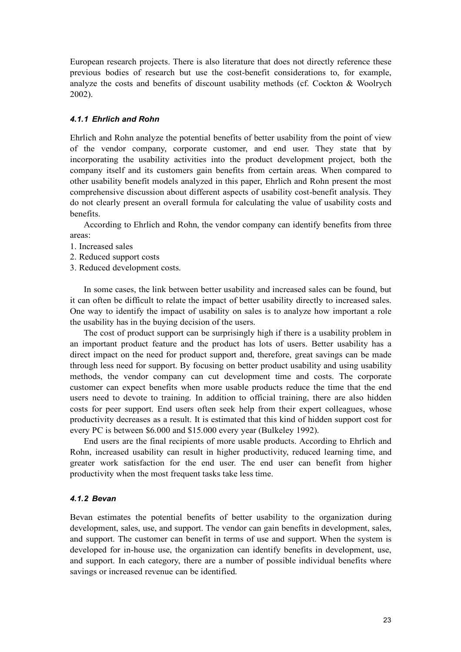European research projects. There is also literature that does not directly reference these previous bodies of research but use the cost-benefit considerations to, for example, analyze the costs and benefits of discount usability methods (cf. Cockton  $&$  Woolrych 2002).

### *4.1.1 Ehrlich and Rohn*

Ehrlich and Rohn analyze the potential benefits of better usability from the point of view of the vendor company, corporate customer, and end user. They state that by incorporating the usability activities into the product development project, both the company itself and its customers gain benefits from certain areas. When compared to other usability benefit models analyzed in this paper, Ehrlich and Rohn present the most comprehensive discussion about different aspects of usability cost-benefit analysis. They do not clearly present an overall formula for calculating the value of usability costs and benefits.

According to Ehrlich and Rohn, the vendor company can identify benefits from three areas:

- 1. Increased sales
- 2. Reduced support costs
- 3. Reduced development costs.

In some cases, the link between better usability and increased sales can be found, but it can often be difficult to relate the impact of better usability directly to increased sales. One way to identify the impact of usability on sales is to analyze how important a role the usability has in the buying decision of the users.

The cost of product support can be surprisingly high if there is a usability problem in an important product feature and the product has lots of users. Better usability has a direct impact on the need for product support and, therefore, great savings can be made through less need for support. By focusing on better product usability and using usability methods, the vendor company can cut development time and costs. The corporate customer can expect benefits when more usable products reduce the time that the end users need to devote to training. In addition to official training, there are also hidden costs for peer support. End users often seek help from their expert colleagues, whose productivity decreases as a result. It is estimated that this kind of hidden support cost for every PC is between \$6.000 and \$15.000 every year (Bulkeley 1992).

End users are the final recipients of more usable products. According to Ehrlich and Rohn, increased usability can result in higher productivity, reduced learning time, and greater work satisfaction for the end user. The end user can benefit from higher productivity when the most frequent tasks take less time.

#### *4.1.2 Bevan*

Bevan estimates the potential benefits of better usability to the organization during development, sales, use, and support. The vendor can gain benefits in development, sales, and support. The customer can benefit in terms of use and support. When the system is developed for in-house use, the organization can identify benefits in development, use, and support. In each category, there are a number of possible individual benefits where savings or increased revenue can be identified.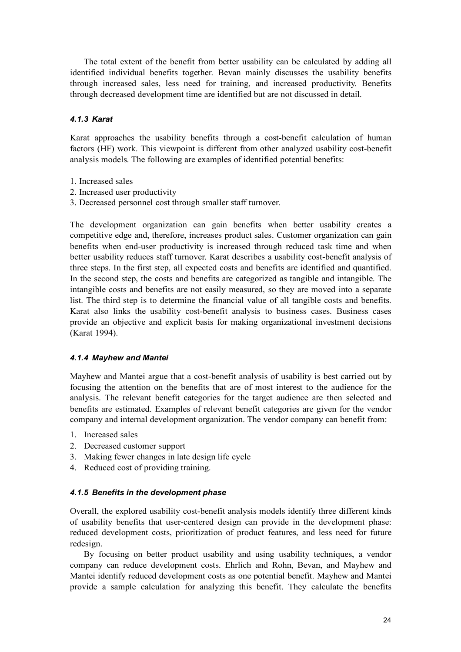The total extent of the benefit from better usability can be calculated by adding all identified individual benefits together. Bevan mainly discusses the usability benefits through increased sales, less need for training, and increased productivity. Benefits through decreased development time are identified but are not discussed in detail.

## *4.1.3 Karat*

Karat approaches the usability benefits through a cost-benefit calculation of human factors (HF) work. This viewpoint is different from other analyzed usability cost-benefit analysis models. The following are examples of identified potential benefits:

- 1. Increased sales
- 2. Increased user productivity
- 3. Decreased personnel cost through smaller staff turnover.

The development organization can gain benefits when better usability creates a competitive edge and, therefore, increases product sales. Customer organization can gain benefits when end-user productivity is increased through reduced task time and when better usability reduces staff turnover. Karat describes a usability cost-benefit analysis of three steps. In the first step, all expected costs and benefits are identified and quantified. In the second step, the costs and benefits are categorized as tangible and intangible. The intangible costs and benefits are not easily measured, so they are moved into a separate list. The third step is to determine the financial value of all tangible costs and benefits. Karat also links the usability cost-benefit analysis to business cases. Business cases provide an objective and explicit basis for making organizational investment decisions (Karat 1994).

#### *4.1.4 Mayhew and Mantei*

Mayhew and Mantei argue that a cost-benefit analysis of usability is best carried out by focusing the attention on the benefits that are of most interest to the audience for the analysis. The relevant benefit categories for the target audience are then selected and benefits are estimated. Examples of relevant benefit categories are given for the vendor company and internal development organization. The vendor company can benefit from:

- 1. Increased sales
- 2. Decreased customer support
- 3. Making fewer changes in late design life cycle
- 4. Reduced cost of providing training.

#### *4.1.5 Benefits in the development phase*

Overall, the explored usability cost-benefit analysis models identify three different kinds of usability benefits that user-centered design can provide in the development phase: reduced development costs, prioritization of product features, and less need for future redesign.

By focusing on better product usability and using usability techniques, a vendor company can reduce development costs. Ehrlich and Rohn, Bevan, and Mayhew and Mantei identify reduced development costs as one potential benefit. Mayhew and Mantei provide a sample calculation for analyzing this benefit. They calculate the benefits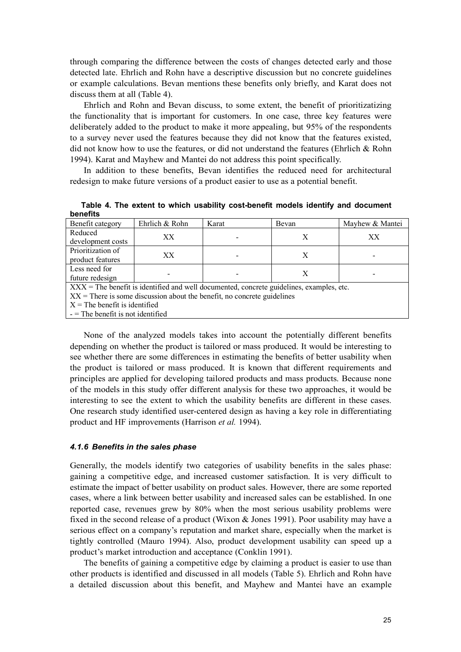through comparing the difference between the costs of changes detected early and those detected late. Ehrlich and Rohn have a descriptive discussion but no concrete guidelines or example calculations. Bevan mentions these benefits only briefly, and Karat does not discuss them at all (Table 4).

Ehrlich and Rohn and Bevan discuss, to some extent, the benefit of prioritizatizing the functionality that is important for customers. In one case, three key features were deliberately added to the product to make it more appealing, but 95% of the respondents to a survey never used the features because they did not know that the features existed, did not know how to use the features, or did not understand the features (Ehrlich & Rohn 1994). Karat and Mayhew and Mantei do not address this point specifically.

In addition to these benefits, Bevan identifies the reduced need for architectural redesign to make future versions of a product easier to use as a potential benefit.

| DEIIGHIS                                                                  |                                                                                            |       |       |                 |  |
|---------------------------------------------------------------------------|--------------------------------------------------------------------------------------------|-------|-------|-----------------|--|
| Benefit category                                                          | Ehrlich & Rohn                                                                             | Karat | Bevan | Mayhew & Mantei |  |
| Reduced                                                                   | XX                                                                                         |       | X     | XX              |  |
| development costs                                                         |                                                                                            |       |       |                 |  |
| Prioritization of                                                         | XX                                                                                         |       | X     |                 |  |
| product features                                                          |                                                                                            |       |       |                 |  |
| Less need for                                                             |                                                                                            |       | Х     |                 |  |
| future redesign                                                           |                                                                                            |       |       |                 |  |
|                                                                           | $XXX =$ The benefit is identified and well documented, concrete guidelines, examples, etc. |       |       |                 |  |
| $XX$ = There is some discussion about the benefit, no concrete guidelines |                                                                                            |       |       |                 |  |
| $X =$ The benefit is identified                                           |                                                                                            |       |       |                 |  |
| $=$ The benefit is not identified                                         |                                                                                            |       |       |                 |  |

**Table 4. The extent to which usability cost-benefit models identify and document benefits**

None of the analyzed models takes into account the potentially different benefits depending on whether the product is tailored or mass produced. It would be interesting to see whether there are some differences in estimating the benefits of better usability when the product is tailored or mass produced. It is known that different requirements and principles are applied for developing tailored products and mass products. Because none of the models in this study offer different analysis for these two approaches, it would be interesting to see the extent to which the usability benefits are different in these cases. One research study identified user-centered design as having a key role in differentiating product and HF improvements (Harrison *et al.* 1994).

#### *4.1.6 Benefits in the sales phase*

Generally, the models identify two categories of usability benefits in the sales phase: gaining a competitive edge, and increased customer satisfaction. It is very difficult to estimate the impact of better usability on product sales. However, there are some reported cases, where a link between better usability and increased sales can be established. In one reported case, revenues grew by 80% when the most serious usability problems were fixed in the second release of a product (Wixon  $\&$  Jones 1991). Poor usability may have a serious effect on a company's reputation and market share, especially when the market is tightly controlled (Mauro 1994). Also, product development usability can speed up a product's market introduction and acceptance (Conklin 1991).

The benefits of gaining a competitive edge by claiming a product is easier to use than other products is identified and discussed in all models (Table 5). Ehrlich and Rohn have a detailed discussion about this benefit, and Mayhew and Mantei have an example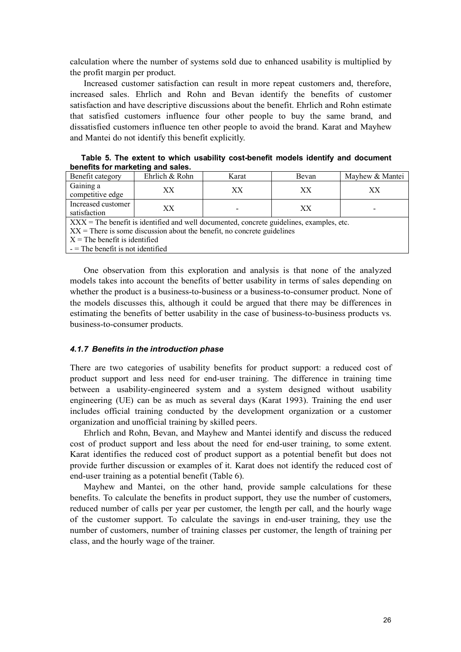calculation where the number of systems sold due to enhanced usability is multiplied by the profit margin per product.

Increased customer satisfaction can result in more repeat customers and, therefore, increased sales. Ehrlich and Rohn and Bevan identify the benefits of customer satisfaction and have descriptive discussions about the benefit. Ehrlich and Rohn estimate that satisfied customers influence four other people to buy the same brand, and dissatisfied customers influence ten other people to avoid the brand. Karat and Mayhew and Mantei do not identify this benefit explicitly.

| Table 5. The extent to which usability cost-benefit models identify and document |  |  |
|----------------------------------------------------------------------------------|--|--|
| benefits for marketing and sales.                                                |  |  |
|                                                                                  |  |  |

| Benefit category                   | Ehrlich & Rohn | Karat | Bevan | Mayhew & Mantei |
|------------------------------------|----------------|-------|-------|-----------------|
| Gaining a<br>competitive edge      |                |       |       |                 |
| Increased customer<br>satisfaction |                | -     |       |                 |

XXX = The benefit is identified and well documented, concrete guidelines, examples, etc.

 $XX =$ There is some discussion about the benefit, no concrete guidelines

 $X =$ The benefit is identified

 $-$  = The benefit is not identified

One observation from this exploration and analysis is that none of the analyzed models takes into account the benefits of better usability in terms of sales depending on whether the product is a business-to-business or a business-to-consumer product. None of the models discusses this, although it could be argued that there may be differences in estimating the benefits of better usability in the case of business-to-business products vs. business-to-consumer products.

#### *4.1.7 Benefits in the introduction phase*

There are two categories of usability benefits for product support: a reduced cost of product support and less need for end-user training. The difference in training time between a usability-engineered system and a system designed without usability engineering (UE) can be as much as several days (Karat 1993). Training the end user includes official training conducted by the development organization or a customer organization and unofficial training by skilled peers.

Ehrlich and Rohn, Bevan, and Mayhew and Mantei identify and discuss the reduced cost of product support and less about the need for end-user training, to some extent. Karat identifies the reduced cost of product support as a potential benefit but does not provide further discussion or examples of it. Karat does not identify the reduced cost of end-user training as a potential benefit (Table 6).

Mayhew and Mantei, on the other hand, provide sample calculations for these benefits. To calculate the benefits in product support, they use the number of customers, reduced number of calls per year per customer, the length per call, and the hourly wage of the customer support. To calculate the savings in end-user training, they use the number of customers, number of training classes per customer, the length of training per class, and the hourly wage of the trainer.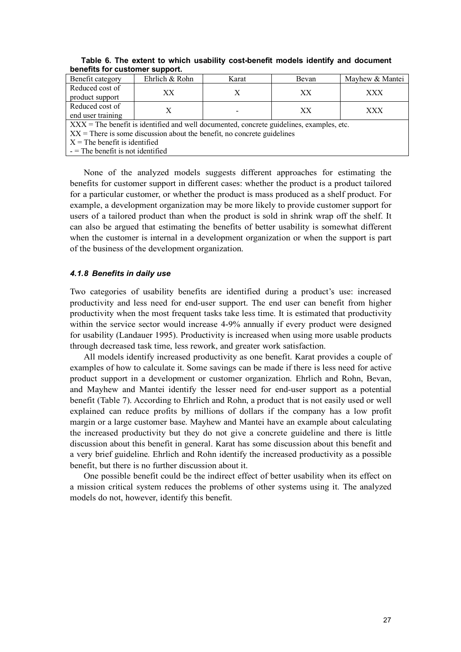| Benefit category                                                          | Ehrlich & Rohn                                                                             | Karat | Bevan | Mayhew & Mantei |  |
|---------------------------------------------------------------------------|--------------------------------------------------------------------------------------------|-------|-------|-----------------|--|
| Reduced cost of                                                           | XX                                                                                         |       | XX    | XXX             |  |
| product support                                                           |                                                                                            |       |       |                 |  |
| Reduced cost of                                                           |                                                                                            |       |       |                 |  |
| end user training                                                         | Х                                                                                          |       | XX    | XXX             |  |
|                                                                           | $XXX =$ The benefit is identified and well documented, concrete guidelines, examples, etc. |       |       |                 |  |
| $XX$ = There is some discussion about the benefit, no concrete guidelines |                                                                                            |       |       |                 |  |
| $X =$ The benefit is identified                                           |                                                                                            |       |       |                 |  |
| $=$ The benefit is not identified                                         |                                                                                            |       |       |                 |  |

**Table 6. The extent to which usability cost-benefit models identify and document benefits for customer support.**

None of the analyzed models suggests different approaches for estimating the benefits for customer support in different cases: whether the product is a product tailored for a particular customer, or whether the product is mass produced as a shelf product. For example, a development organization may be more likely to provide customer support for users of a tailored product than when the product is sold in shrink wrap off the shelf. It can also be argued that estimating the benefits of better usability is somewhat different when the customer is internal in a development organization or when the support is part of the business of the development organization.

#### *4.1.8 Benefits in daily use*

Two categories of usability benefits are identified during a product's use: increased productivity and less need for end-user support. The end user can benefit from higher productivity when the most frequent tasks take less time. It is estimated that productivity within the service sector would increase 4-9% annually if every product were designed for usability (Landauer 1995). Productivity is increased when using more usable products through decreased task time, less rework, and greater work satisfaction.

All models identify increased productivity as one benefit. Karat provides a couple of examples of how to calculate it. Some savings can be made if there is less need for active product support in a development or customer organization. Ehrlich and Rohn, Bevan, and Mayhew and Mantei identify the lesser need for end-user support as a potential benefit (Table 7). According to Ehrlich and Rohn, a product that is not easily used or well explained can reduce profits by millions of dollars if the company has a low profit margin or a large customer base. Mayhew and Mantei have an example about calculating the increased productivity but they do not give a concrete guideline and there is little discussion about this benefit in general. Karat has some discussion about this benefit and a very brief guideline. Ehrlich and Rohn identify the increased productivity as a possible benefit, but there is no further discussion about it.

One possible benefit could be the indirect effect of better usability when its effect on a mission critical system reduces the problems of other systems using it. The analyzed models do not, however, identify this benefit.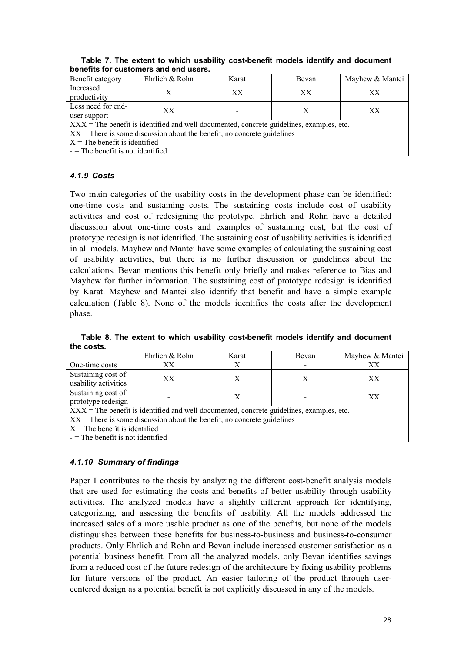| Benefit category                                                                                                                                                                                           | Ehrlich & Rohn | Karat | Bevan | Mayhew & Mantei |
|------------------------------------------------------------------------------------------------------------------------------------------------------------------------------------------------------------|----------------|-------|-------|-----------------|
| Increased<br>productivity                                                                                                                                                                                  | X              | XX    | XX    | XX              |
| Less need for end-<br>user support                                                                                                                                                                         | XX             |       | Х     | XX              |
| $XXX =$ The benefit is identified and well documented, concrete guidelines, examples, etc.<br>$XX$ = There is some discussion about the benefit, no concrete guidelines<br>$X =$ The benefit is identified |                |       |       |                 |

**Table 7. The extent to which usability cost-benefit models identify and document benefits for customers and end users.**

 $\vert$  -  $=$  The benefit is not identified

# *4.1.9 Costs*

Two main categories of the usability costs in the development phase can be identified: one-time costs and sustaining costs. The sustaining costs include cost of usability activities and cost of redesigning the prototype. Ehrlich and Rohn have a detailed discussion about one-time costs and examples of sustaining cost, but the cost of prototype redesign is not identified. The sustaining cost of usability activities is identified in all models. Mayhew and Mantei have some examples of calculating the sustaining cost of usability activities, but there is no further discussion or guidelines about the calculations. Bevan mentions this benefit only briefly and makes reference to Bias and Mayhew for further information. The sustaining cost of prototype redesign is identified by Karat. Mayhew and Mantei also identify that benefit and have a simple example calculation (Table 8). None of the models identifies the costs after the development phase.

**Table 8. The extent to which usability cost-benefit models identify and document the costs.**

|                                                                                            | Ehrlich & Rohn | Karat | Bevan | Mayhew & Mantei |
|--------------------------------------------------------------------------------------------|----------------|-------|-------|-----------------|
| One-time costs                                                                             | XХ             |       |       | XХ              |
| Sustaining cost of<br>usability activities                                                 | XX             |       |       | XX              |
| Sustaining cost of<br>prototype redesign                                                   |                |       |       | XX              |
| $XXX =$ The benefit is identified and well documented, concrete guidelines, examples, etc. |                |       |       |                 |
| $XX$ = There is some discussion about the benefit, no concrete guidelines                  |                |       |       |                 |
| $\mathbf{V} = \mathbf{T}$ , the set $\alpha$ is interest $\alpha$ .                        |                |       |       |                 |

 $X =$ The benefit is identified

- = The benefit is not identified

# *4.1.10 Summary of findings*

Paper I contributes to the thesis by analyzing the different cost-benefit analysis models that are used for estimating the costs and benefits of better usability through usability activities. The analyzed models have a slightly different approach for identifying, categorizing, and assessing the benefits of usability. All the models addressed the increased sales of a more usable product as one of the benefits, but none of the models distinguishes between these benefits for business-to-business and business-to-consumer products. Only Ehrlich and Rohn and Bevan include increased customer satisfaction as a potential business benefit. From all the analyzed models, only Bevan identifies savings from a reduced cost of the future redesign of the architecture by fixing usability problems for future versions of the product. An easier tailoring of the product through usercentered design as a potential benefit is not explicitly discussed in any of the models.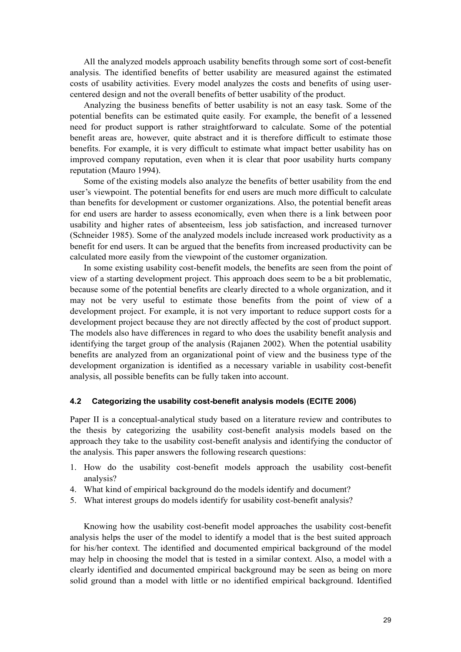All the analyzed models approach usability benefits through some sort of cost-benefit analysis. The identified benefits of better usability are measured against the estimated costs of usability activities. Every model analyzes the costs and benefits of using usercentered design and not the overall benefits of better usability of the product.

Analyzing the business benefits of better usability is not an easy task. Some of the potential benefits can be estimated quite easily. For example, the benefit of a lessened need for product support is rather straightforward to calculate. Some of the potential benefit areas are, however, quite abstract and it is therefore difficult to estimate those benefits. For example, it is very difficult to estimate what impact better usability has on improved company reputation, even when it is clear that poor usability hurts company reputation (Mauro 1994).

Some of the existing models also analyze the benefits of better usability from the end user's viewpoint. The potential benefits for end users are much more difficult to calculate than benefits for development or customer organizations. Also, the potential benefit areas for end users are harder to assess economically, even when there is a link between poor usability and higher rates of absenteeism, less job satisfaction, and increased turnover (Schneider 1985). Some of the analyzed models include increased work productivity as a benefit for end users. It can be argued that the benefits from increased productivity can be calculated more easily from the viewpoint of the customer organization.

In some existing usability cost-benefit models, the benefits are seen from the point of view of a starting development project. This approach does seem to be a bit problematic, because some of the potential benefits are clearly directed to a whole organization, and it may not be very useful to estimate those benefits from the point of view of a development project. For example, it is not very important to reduce support costs for a development project because they are not directly affected by the cost of product support. The models also have differences in regard to who does the usability benefit analysis and identifying the target group of the analysis (Rajanen 2002). When the potential usability benefits are analyzed from an organizational point of view and the business type of the development organization is identified as a necessary variable in usability cost-benefit analysis, all possible benefits can be fully taken into account.

#### **4.2 Categorizing the usability cost-benefit analysis models (ECITE 2006)**

Paper II is a conceptual-analytical study based on a literature review and contributes to the thesis by categorizing the usability cost-benefit analysis models based on the approach they take to the usability cost-benefit analysis and identifying the conductor of the analysis. This paper answers the following research questions:

- 1. How do the usability cost-benefit models approach the usability cost-benefit analysis?
- 4. What kind of empirical background do the models identify and document?
- 5. What interest groups do models identify for usability cost-benefit analysis?

Knowing how the usability cost-benefit model approaches the usability cost-benefit analysis helps the user of the model to identify a model that is the best suited approach for his/her context. The identified and documented empirical background of the model may help in choosing the model that is tested in a similar context. Also, a model with a clearly identified and documented empirical background may be seen as being on more solid ground than a model with little or no identified empirical background. Identified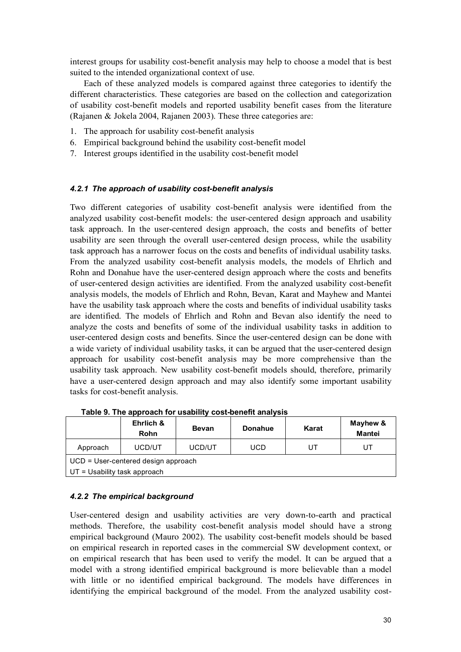interest groups for usability cost-benefit analysis may help to choose a model that is best suited to the intended organizational context of use.

Each of these analyzed models is compared against three categories to identify the different characteristics. These categories are based on the collection and categorization of usability cost-benefit models and reported usability benefit cases from the literature (Rajanen & Jokela 2004, Rajanen 2003). These three categories are:

- 1. The approach for usability cost-benefit analysis
- 6. Empirical background behind the usability cost-benefit model
- 7. Interest groups identified in the usability cost-benefit model

#### *4.2.1 The approach of usability cost-benefit analysis*

Two different categories of usability cost-benefit analysis were identified from the analyzed usability cost-benefit models: the user-centered design approach and usability task approach. In the user-centered design approach, the costs and benefits of better usability are seen through the overall user-centered design process, while the usability task approach has a narrower focus on the costs and benefits of individual usability tasks. From the analyzed usability cost-benefit analysis models, the models of Ehrlich and Rohn and Donahue have the user-centered design approach where the costs and benefits of user-centered design activities are identified. From the analyzed usability cost-benefit analysis models, the models of Ehrlich and Rohn, Bevan, Karat and Mayhew and Mantei have the usability task approach where the costs and benefits of individual usability tasks are identified. The models of Ehrlich and Rohn and Bevan also identify the need to analyze the costs and benefits of some of the individual usability tasks in addition to user-centered design costs and benefits. Since the user-centered design can be done with a wide variety of individual usability tasks, it can be argued that the user-centered design approach for usability cost-benefit analysis may be more comprehensive than the usability task approach. New usability cost-benefit models should, therefore, primarily have a user-centered design approach and may also identify some important usability tasks for cost-benefit analysis.

|                                       | Ehrlich &<br><b>Rohn</b> | <b>Bevan</b> | <b>Donahue</b> | Karat | Mayhew &<br>Mantei |
|---------------------------------------|--------------------------|--------------|----------------|-------|--------------------|
| Approach                              | UCD/UT                   | UCD/UT       | UCD            | UT    | UT                 |
| $UCD = User-centered$ design approach |                          |              |                |       |                    |
| $UT = U$ sability task approach       |                          |              |                |       |                    |

**Table 9. The approach for usability cost-benefit analysis**

#### *4.2.2 The empirical background*

User-centered design and usability activities are very down-to-earth and practical methods. Therefore, the usability cost-benefit analysis model should have a strong empirical background (Mauro 2002). The usability cost-benefit models should be based on empirical research in reported cases in the commercial SW development context, or on empirical research that has been used to verify the model. It can be argued that a model with a strong identified empirical background is more believable than a model with little or no identified empirical background. The models have differences in identifying the empirical background of the model. From the analyzed usability cost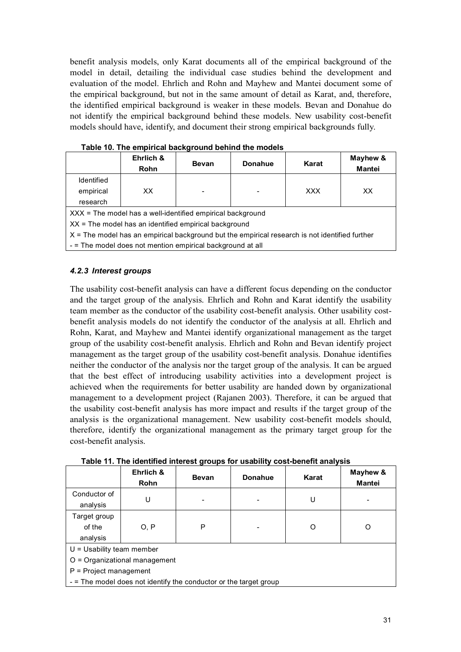benefit analysis models, only Karat documents all of the empirical background of the model in detail, detailing the individual case studies behind the development and evaluation of the model. Ehrlich and Rohn and Mayhew and Mantei document some of the empirical background, but not in the same amount of detail as Karat, and, therefore, the identified empirical background is weaker in these models. Bevan and Donahue do not identify the empirical background behind these models. New usability cost-benefit models should have, identify, and document their strong empirical backgrounds fully.

|                                                                                                  | Ehrlich &<br><b>Rohn</b> | <b>Bevan</b> | <b>Donahue</b> | Karat      | Mayhew &<br><b>Mantei</b> |
|--------------------------------------------------------------------------------------------------|--------------------------|--------------|----------------|------------|---------------------------|
| <b>Identified</b>                                                                                |                          |              |                |            |                           |
| empirical                                                                                        | XX.                      |              |                | <b>XXX</b> | XX                        |
| research                                                                                         |                          |              |                |            |                           |
| XXX = The model has a well-identified empirical background                                       |                          |              |                |            |                           |
| $XX$ = The model has an identified empirical background                                          |                          |              |                |            |                           |
| $X =$ The model has an empirical background but the empirical research is not identified further |                          |              |                |            |                           |
| - = The model does not mention empirical background at all                                       |                          |              |                |            |                           |

**Table 10. The empirical background behind the models**

## *4.2.3 Interest groups*

The usability cost-benefit analysis can have a different focus depending on the conductor and the target group of the analysis. Ehrlich and Rohn and Karat identify the usability team member as the conductor of the usability cost-benefit analysis. Other usability costbenefit analysis models do not identify the conductor of the analysis at all. Ehrlich and Rohn, Karat, and Mayhew and Mantei identify organizational management as the target group of the usability cost-benefit analysis. Ehrlich and Rohn and Bevan identify project management as the target group of the usability cost-benefit analysis. Donahue identifies neither the conductor of the analysis nor the target group of the analysis. It can be argued that the best effect of introducing usability activities into a development project is achieved when the requirements for better usability are handed down by organizational management to a development project (Rajanen 2003). Therefore, it can be argued that the usability cost-benefit analysis has more impact and results if the target group of the analysis is the organizational management. New usability cost-benefit models should, therefore, identify the organizational management as the primary target group for the cost-benefit analysis.

|                                                                   | Ehrlich &<br><b>Rohn</b> | <b>Bevan</b> | <b>Donahue</b> | Karat | Mayhew &<br><b>Mantei</b> |
|-------------------------------------------------------------------|--------------------------|--------------|----------------|-------|---------------------------|
| Conductor of<br>analysis                                          | U                        |              |                | U     | -                         |
| Target group<br>of the<br>analysis                                | O, P                     | P            |                | Ω     | O                         |
| $U = U$ sability team member                                      |                          |              |                |       |                           |
| O = Organizational management                                     |                          |              |                |       |                           |
| $P =$ Project management                                          |                          |              |                |       |                           |
| - = The model does not identify the conductor or the target group |                          |              |                |       |                           |

**Table 11. The identified interest groups for usability cost-benefit analysis**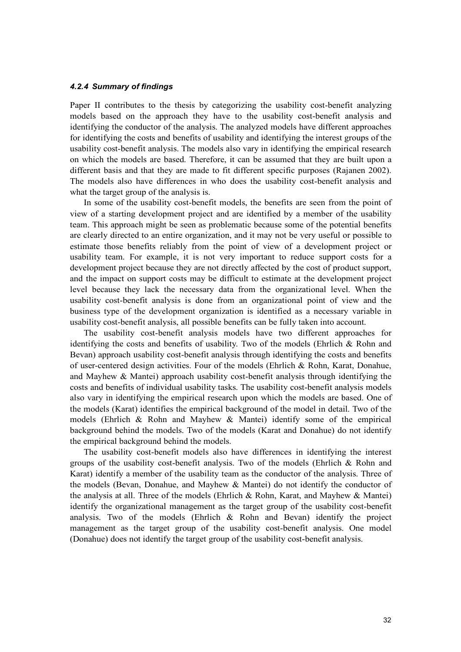#### *4.2.4 Summary of findings*

Paper II contributes to the thesis by categorizing the usability cost-benefit analyzing models based on the approach they have to the usability cost-benefit analysis and identifying the conductor of the analysis. The analyzed models have different approaches for identifying the costs and benefits of usability and identifying the interest groups of the usability cost-benefit analysis. The models also vary in identifying the empirical research on which the models are based. Therefore, it can be assumed that they are built upon a different basis and that they are made to fit different specific purposes (Rajanen 2002). The models also have differences in who does the usability cost-benefit analysis and what the target group of the analysis is.

In some of the usability cost-benefit models, the benefits are seen from the point of view of a starting development project and are identified by a member of the usability team. This approach might be seen as problematic because some of the potential benefits are clearly directed to an entire organization, and it may not be very useful or possible to estimate those benefits reliably from the point of view of a development project or usability team. For example, it is not very important to reduce support costs for a development project because they are not directly affected by the cost of product support, and the impact on support costs may be difficult to estimate at the development project level because they lack the necessary data from the organizational level. When the usability cost-benefit analysis is done from an organizational point of view and the business type of the development organization is identified as a necessary variable in usability cost-benefit analysis, all possible benefits can be fully taken into account.

The usability cost-benefit analysis models have two different approaches for identifying the costs and benefits of usability. Two of the models (Ehrlich  $\&$  Rohn and Bevan) approach usability cost-benefit analysis through identifying the costs and benefits of user-centered design activities. Four of the models (Ehrlich & Rohn, Karat, Donahue, and Mayhew & Mantei) approach usability cost-benefit analysis through identifying the costs and benefits of individual usability tasks. The usability cost-benefit analysis models also vary in identifying the empirical research upon which the models are based. One of the models (Karat) identifies the empirical background of the model in detail. Two of the models (Ehrlich & Rohn and Mayhew & Mantei) identify some of the empirical background behind the models. Two of the models (Karat and Donahue) do not identify the empirical background behind the models.

The usability cost-benefit models also have differences in identifying the interest groups of the usability cost-benefit analysis. Two of the models (Ehrlich  $\&$  Rohn and Karat) identify a member of the usability team as the conductor of the analysis. Three of the models (Bevan, Donahue, and Mayhew & Mantei) do not identify the conductor of the analysis at all. Three of the models (Ehrlich & Rohn, Karat, and Mayhew & Mantei) identify the organizational management as the target group of the usability cost-benefit analysis. Two of the models (Ehrlich  $\&$  Rohn and Bevan) identify the project management as the target group of the usability cost-benefit analysis. One model (Donahue) does not identify the target group of the usability cost-benefit analysis.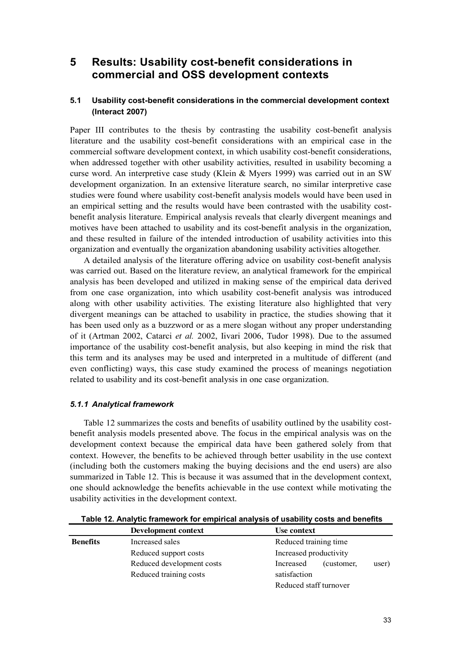# **5 Results: Usability cost-benefit considerations in commercial and OSS development contexts**

## **5.1 Usability cost-benefit considerations in the commercial development context (Interact 2007)**

Paper III contributes to the thesis by contrasting the usability cost-benefit analysis literature and the usability cost-benefit considerations with an empirical case in the commercial software development context, in which usability cost-benefit considerations, when addressed together with other usability activities, resulted in usability becoming a curse word. An interpretive case study (Klein & Myers 1999) was carried out in an SW development organization. In an extensive literature search, no similar interpretive case studies were found where usability cost-benefit analysis models would have been used in an empirical setting and the results would have been contrasted with the usability costbenefit analysis literature. Empirical analysis reveals that clearly divergent meanings and motives have been attached to usability and its cost-benefit analysis in the organization, and these resulted in failure of the intended introduction of usability activities into this organization and eventually the organization abandoning usability activities altogether.

A detailed analysis of the literature offering advice on usability cost-benefit analysis was carried out. Based on the literature review, an analytical framework for the empirical analysis has been developed and utilized in making sense of the empirical data derived from one case organization, into which usability cost-benefit analysis was introduced along with other usability activities. The existing literature also highlighted that very divergent meanings can be attached to usability in practice, the studies showing that it has been used only as a buzzword or as a mere slogan without any proper understanding of it (Artman 2002, Catarci *et al.* 2002, Iivari 2006, Tudor 1998). Due to the assumed importance of the usability cost-benefit analysis, but also keeping in mind the risk that this term and its analyses may be used and interpreted in a multitude of different (and even conflicting) ways, this case study examined the process of meanings negotiation related to usability and its cost-benefit analysis in one case organization.

#### *5.1.1 Analytical framework*

Table 12 summarizes the costs and benefits of usability outlined by the usability costbenefit analysis models presented above. The focus in the empirical analysis was on the development context because the empirical data have been gathered solely from that context. However, the benefits to be achieved through better usability in the use context (including both the customers making the buying decisions and the end users) are also summarized in Table 12. This is because it was assumed that in the development context, one should acknowledge the benefits achievable in the use context while motivating the usability activities in the development context.

|                 | <b>Development context</b> | Use context                      |
|-----------------|----------------------------|----------------------------------|
| <b>Benefits</b> | Increased sales            | Reduced training time            |
|                 | Reduced support costs      | Increased productivity           |
|                 | Reduced development costs  | Increased<br>user)<br>(customer, |
|                 | Reduced training costs     | satisfaction                     |
|                 |                            | Reduced staff turnover           |

**Table 12. Analytic framework for empirical analysis of usability costs and benefits**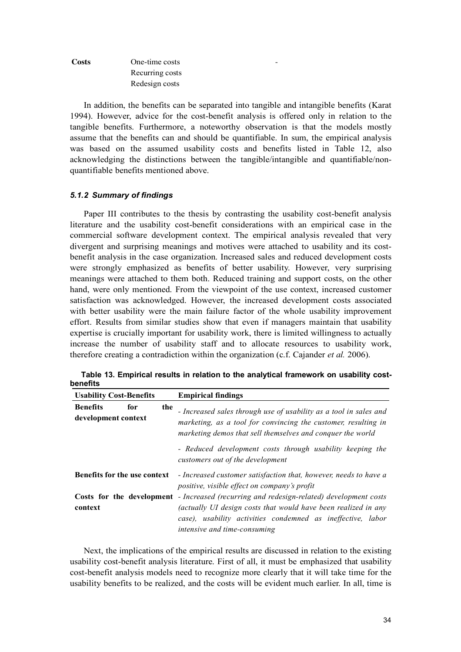**Costs** One-time costs Recurring costs Redesign costs

In addition, the benefits can be separated into tangible and intangible benefits (Karat 1994). However, advice for the cost-benefit analysis is offered only in relation to the tangible benefits. Furthermore, a noteworthy observation is that the models mostly assume that the benefits can and should be quantifiable. In sum, the empirical analysis was based on the assumed usability costs and benefits listed in Table 12, also acknowledging the distinctions between the tangible/intangible and quantifiable/nonquantifiable benefits mentioned above.

-

#### *5.1.2 Summary of findings*

Paper III contributes to the thesis by contrasting the usability cost-benefit analysis literature and the usability cost-benefit considerations with an empirical case in the commercial software development context. The empirical analysis revealed that very divergent and surprising meanings and motives were attached to usability and its costbenefit analysis in the case organization. Increased sales and reduced development costs were strongly emphasized as benefits of better usability. However, very surprising meanings were attached to them both. Reduced training and support costs, on the other hand, were only mentioned. From the viewpoint of the use context, increased customer satisfaction was acknowledged. However, the increased development costs associated with better usability were the main failure factor of the whole usability improvement effort. Results from similar studies show that even if managers maintain that usability expertise is crucially important for usability work, there is limited willingness to actually increase the number of usability staff and to allocate resources to usability work, therefore creating a contradiction within the organization (c.f. Cajander *et al.* 2006).

| <b>Usability Cost-Benefits</b>                       | <b>Empirical findings</b>                                                                                                                                                                                                                                        |
|------------------------------------------------------|------------------------------------------------------------------------------------------------------------------------------------------------------------------------------------------------------------------------------------------------------------------|
| <b>Benefits</b><br>for<br>the<br>development context | - Increased sales through use of usability as a tool in sales and<br>marketing, as a tool for convincing the customer, resulting in<br>marketing demos that sell themselves and conquer the world                                                                |
|                                                      | - Reduced development costs through usability keeping the<br>customers out of the development                                                                                                                                                                    |
| <b>Benefits for the use context</b>                  | - Increased customer satisfaction that, however, needs to have a<br>positive, visible effect on company's profit                                                                                                                                                 |
| context                                              | <b>Costs for the development</b> - Increased (recurring and redesign-related) development costs<br>(actually UI design costs that would have been realized in any<br>case), usability activities condemned as ineffective, labor<br>intensive and time-consuming |

**Table 13. Empirical results in relation to the analytical framework on usability costbenefits**

Next, the implications of the empirical results are discussed in relation to the existing usability cost-benefit analysis literature. First of all, it must be emphasized that usability cost-benefit analysis models need to recognize more clearly that it will take time for the usability benefits to be realized, and the costs will be evident much earlier. In all, time is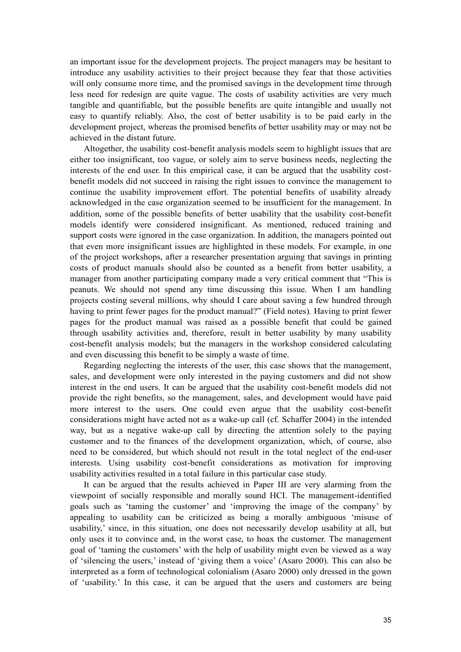an important issue for the development projects. The project managers may be hesitant to introduce any usability activities to their project because they fear that those activities will only consume more time, and the promised savings in the development time through less need for redesign are quite vague. The costs of usability activities are very much tangible and quantifiable, but the possible benefits are quite intangible and usually not easy to quantify reliably. Also, the cost of better usability is to be paid early in the development project, whereas the promised benefits of better usability may or may not be achieved in the distant future.

Altogether, the usability cost-benefit analysis models seem to highlight issues that are either too insignificant, too vague, or solely aim to serve business needs, neglecting the interests of the end user. In this empirical case, it can be argued that the usability costbenefit models did not succeed in raising the right issues to convince the management to continue the usability improvement effort. The potential benefits of usability already acknowledged in the case organization seemed to be insufficient for the management. In addition, some of the possible benefits of better usability that the usability cost-benefit models identify were considered insignificant. As mentioned, reduced training and support costs were ignored in the case organization. In addition, the managers pointed out that even more insignificant issues are highlighted in these models. For example, in one of the project workshops, after a researcher presentation arguing that savings in printing costs of product manuals should also be counted as a benefit from better usability, a manager from another participating company made a very critical comment that "This is peanuts. We should not spend any time discussing this issue. When I am handling projects costing several millions, why should I care about saving a few hundred through having to print fewer pages for the product manual?" (Field notes). Having to print fewer pages for the product manual was raised as a possible benefit that could be gained through usability activities and, therefore, result in better usability by many usability cost-benefit analysis models; but the managers in the workshop considered calculating and even discussing this benefit to be simply a waste of time.

Regarding neglecting the interests of the user, this case shows that the management, sales, and development were only interested in the paying customers and did not show interest in the end users. It can be argued that the usability cost-benefit models did not provide the right benefits, so the management, sales, and development would have paid more interest to the users. One could even argue that the usability cost-benefit considerations might have acted not as a wake-up call (cf. Schaffer 2004) in the intended way, but as a negative wake-up call by directing the attention solely to the paying customer and to the finances of the development organization, which, of course, also need to be considered, but which should not result in the total neglect of the end-user interests. Using usability cost-benefit considerations as motivation for improving usability activities resulted in a total failure in this particular case study.

It can be argued that the results achieved in Paper III are very alarming from the viewpoint of socially responsible and morally sound HCI. The management-identified goals such as 'taming the customer' and 'improving the image of the company' by appealing to usability can be criticized as being a morally ambiguous 'misuse of usability,' since, in this situation, one does not necessarily develop usability at all, but only uses it to convince and, in the worst case, to hoax the customer. The management goal of 'taming the customers' with the help of usability might even be viewed as a way of 'silencing the users,' instead of 'giving them a voice' (Asaro 2000). This can also be interpreted as a form of technological colonialism (Asaro 2000) only dressed in the gown of 'usability.' In this case, it can be argued that the users and customers are being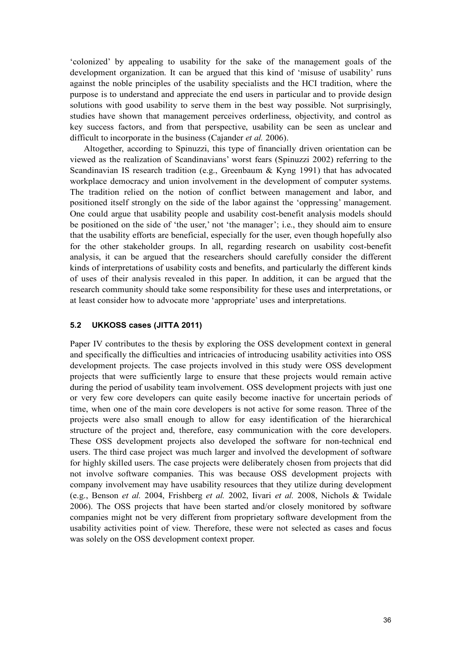'colonized' by appealing to usability for the sake of the management goals of the development organization. It can be argued that this kind of 'misuse of usability' runs against the noble principles of the usability specialists and the HCI tradition, where the purpose is to understand and appreciate the end users in particular and to provide design solutions with good usability to serve them in the best way possible. Not surprisingly, studies have shown that management perceives orderliness, objectivity, and control as key success factors, and from that perspective, usability can be seen as unclear and difficult to incorporate in the business (Cajander *et al.* 2006).

Altogether, according to Spinuzzi, this type of financially driven orientation can be viewed as the realization of Scandinavians' worst fears (Spinuzzi 2002) referring to the Scandinavian IS research tradition (e.g., Greenbaum & Kyng 1991) that has advocated workplace democracy and union involvement in the development of computer systems. The tradition relied on the notion of conflict between management and labor, and positioned itself strongly on the side of the labor against the 'oppressing' management. One could argue that usability people and usability cost-benefit analysis models should be positioned on the side of 'the user,' not 'the manager'; i.e., they should aim to ensure that the usability efforts are beneficial, especially for the user, even though hopefully also for the other stakeholder groups. In all, regarding research on usability cost-benefit analysis, it can be argued that the researchers should carefully consider the different kinds of interpretations of usability costs and benefits, and particularly the different kinds of uses of their analysis revealed in this paper. In addition, it can be argued that the research community should take some responsibility for these uses and interpretations, or at least consider how to advocate more 'appropriate' uses and interpretations.

### **5.2 UKKOSS cases (JITTA 2011)**

Paper IV contributes to the thesis by exploring the OSS development context in general and specifically the difficulties and intricacies of introducing usability activities into OSS development projects. The case projects involved in this study were OSS development projects that were sufficiently large to ensure that these projects would remain active during the period of usability team involvement. OSS development projects with just one or very few core developers can quite easily become inactive for uncertain periods of time, when one of the main core developers is not active for some reason. Three of the projects were also small enough to allow for easy identification of the hierarchical structure of the project and, therefore, easy communication with the core developers. These OSS development projects also developed the software for non-technical end users. The third case project was much larger and involved the development of software for highly skilled users. The case projects were deliberately chosen from projects that did not involve software companies. This was because OSS development projects with company involvement may have usability resources that they utilize during development (e.g., Benson *et al.* 2004, Frishberg *et al.* 2002, Iivari *et al.* 2008, Nichols & Twidale 2006). The OSS projects that have been started and/or closely monitored by software companies might not be very different from proprietary software development from the usability activities point of view. Therefore, these were not selected as cases and focus was solely on the OSS development context proper.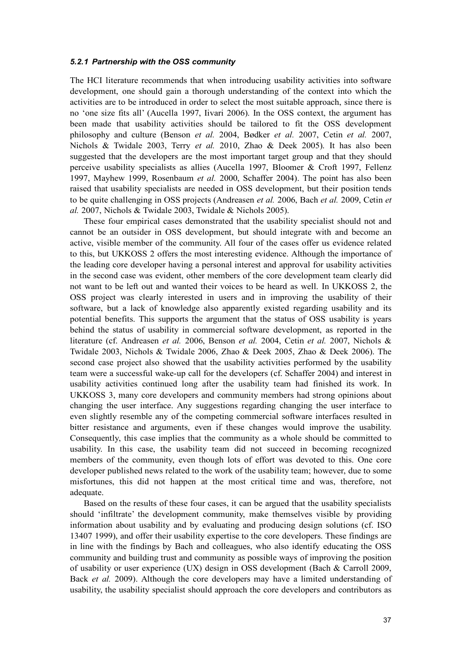#### *5.2.1 Partnership with the OSS community*

The HCI literature recommends that when introducing usability activities into software development, one should gain a thorough understanding of the context into which the activities are to be introduced in order to select the most suitable approach, since there is no 'one size fits all' (Aucella 1997, Iivari 2006). In the OSS context, the argument has been made that usability activities should be tailored to fit the OSS development philosophy and culture (Benson *et al.* 2004, Bødker *et al.* 2007, Cetin *et al.* 2007, Nichols & Twidale 2003, Terry *et al.* 2010, Zhao & Deek 2005). It has also been suggested that the developers are the most important target group and that they should perceive usability specialists as allies (Aucella 1997, Bloomer & Croft 1997, Fellenz 1997, Mayhew 1999, Rosenbaum *et al.* 2000, Schaffer 2004). The point has also been raised that usability specialists are needed in OSS development, but their position tends to be quite challenging in OSS projects (Andreasen *et al.* 2006, Bach *et al.* 2009, Cetin *et al.* 2007, Nichols & Twidale 2003, Twidale & Nichols 2005).

These four empirical cases demonstrated that the usability specialist should not and cannot be an outsider in OSS development, but should integrate with and become an active, visible member of the community. All four of the cases offer us evidence related to this, but UKKOSS 2 offers the most interesting evidence. Although the importance of the leading core developer having a personal interest and approval for usability activities in the second case was evident, other members of the core development team clearly did not want to be left out and wanted their voices to be heard as well. In UKKOSS 2, the OSS project was clearly interested in users and in improving the usability of their software, but a lack of knowledge also apparently existed regarding usability and its potential benefits. This supports the argument that the status of OSS usability is years behind the status of usability in commercial software development, as reported in the literature (cf. Andreasen *et al.* 2006, Benson *et al.* 2004, Cetin *et al.* 2007, Nichols & Twidale 2003, Nichols & Twidale 2006, Zhao & Deek 2005, Zhao & Deek 2006). The second case project also showed that the usability activities performed by the usability team were a successful wake-up call for the developers (cf. Schaffer 2004) and interest in usability activities continued long after the usability team had finished its work. In UKKOSS 3, many core developers and community members had strong opinions about changing the user interface. Any suggestions regarding changing the user interface to even slightly resemble any of the competing commercial software interfaces resulted in bitter resistance and arguments, even if these changes would improve the usability. Consequently, this case implies that the community as a whole should be committed to usability. In this case, the usability team did not succeed in becoming recognized members of the community, even though lots of effort was devoted to this. One core developer published news related to the work of the usability team; however, due to some misfortunes, this did not happen at the most critical time and was, therefore, not adequate.

Based on the results of these four cases, it can be argued that the usability specialists should 'infiltrate' the development community, make themselves visible by providing information about usability and by evaluating and producing design solutions (cf. ISO 13407 1999), and offer their usability expertise to the core developers. These findings are in line with the findings by Bach and colleagues, who also identify educating the OSS community and building trust and community as possible ways of improving the position of usability or user experience (UX) design in OSS development (Bach & Carroll 2009, Back *et al.* 2009). Although the core developers may have a limited understanding of usability, the usability specialist should approach the core developers and contributors as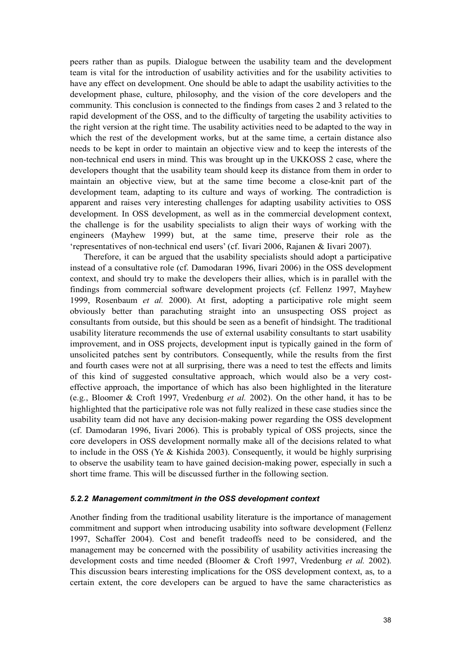peers rather than as pupils. Dialogue between the usability team and the development team is vital for the introduction of usability activities and for the usability activities to have any effect on development. One should be able to adapt the usability activities to the development phase, culture, philosophy, and the vision of the core developers and the community. This conclusion is connected to the findings from cases 2 and 3 related to the rapid development of the OSS, and to the difficulty of targeting the usability activities to the right version at the right time. The usability activities need to be adapted to the way in which the rest of the development works, but at the same time, a certain distance also needs to be kept in order to maintain an objective view and to keep the interests of the non-technical end users in mind. This was brought up in the UKKOSS 2 case, where the developers thought that the usability team should keep its distance from them in order to maintain an objective view, but at the same time become a close-knit part of the development team, adapting to its culture and ways of working. The contradiction is apparent and raises very interesting challenges for adapting usability activities to OSS development. In OSS development, as well as in the commercial development context, the challenge is for the usability specialists to align their ways of working with the engineers (Mayhew 1999) but, at the same time, preserve their role as the 'representatives of non-technical end users' (cf. Iivari 2006, Rajanen & Iivari 2007).

Therefore, it can be argued that the usability specialists should adopt a participative instead of a consultative role (cf. Damodaran 1996, Iivari 2006) in the OSS development context, and should try to make the developers their allies, which is in parallel with the findings from commercial software development projects (cf. Fellenz 1997, Mayhew 1999, Rosenbaum *et al.* 2000). At first, adopting a participative role might seem obviously better than parachuting straight into an unsuspecting OSS project as consultants from outside, but this should be seen as a benefit of hindsight. The traditional usability literature recommends the use of external usability consultants to start usability improvement, and in OSS projects, development input is typically gained in the form of unsolicited patches sent by contributors. Consequently, while the results from the first and fourth cases were not at all surprising, there was a need to test the effects and limits of this kind of suggested consultative approach, which would also be a very costeffective approach, the importance of which has also been highlighted in the literature (e.g., Bloomer & Croft 1997, Vredenburg *et al.* 2002). On the other hand, it has to be highlighted that the participative role was not fully realized in these case studies since the usability team did not have any decision-making power regarding the OSS development (cf. Damodaran 1996, Iivari 2006). This is probably typical of OSS projects, since the core developers in OSS development normally make all of the decisions related to what to include in the OSS (Ye & Kishida 2003). Consequently, it would be highly surprising to observe the usability team to have gained decision-making power, especially in such a short time frame. This will be discussed further in the following section.

#### *5.2.2 Management commitment in the OSS development context*

Another finding from the traditional usability literature is the importance of management commitment and support when introducing usability into software development (Fellenz 1997, Schaffer 2004). Cost and benefit tradeoffs need to be considered, and the management may be concerned with the possibility of usability activities increasing the development costs and time needed (Bloomer & Croft 1997, Vredenburg *et al.* 2002). This discussion bears interesting implications for the OSS development context, as, to a certain extent, the core developers can be argued to have the same characteristics as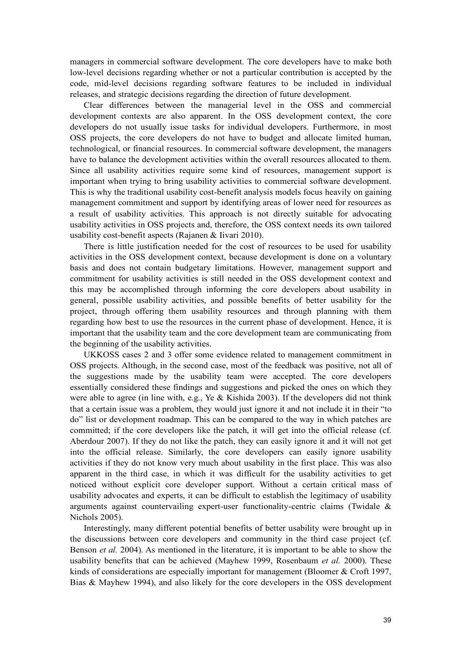managers in commercial software development. The core developers have to make both low-level decisions regarding whether or not a particular contribution is accepted by the code, mid-level decisions regarding software features to be included in individual releases, and strategic decisions regarding the direction of future development.

Clear differences between the managerial level in the OSS and commercial development contexts are also apparent. In the OSS development context, the core developers do not usually issue tasks for individual developers. Furthermore, in most OSS projects, the core developers do not have to budget and allocate limited human, technological, or financial resources. In commercial software development, the managers have to balance the development activities within the overall resources allocated to them. Since all usability activities require some kind of resources, management support is important when trying to bring usability activities to commercial software development. This is why the traditional usability cost-benefit analysis models focus heavily on gaining management commitment and support by identifying areas of lower need for resources as a result of usability activities. This approach is not directly suitable for advocating usability activities in OSS projects and, therefore, the OSS context needs its own tailored usability cost-benefit aspects (Rajanen & Iivari 2010).

There is little justification needed for the cost of resources to be used for usability activities in the OSS development context, because development is done on a voluntary basis and does not contain budgetary limitations. However, management support and commitment for usability activities is still needed in the OSS development context and this may be accomplished through informing the core developers about usability in general, possible usability activities, and possible benefits of better usability for the project, through offering them usability resources and through planning with them regarding how best to use the resources in the current phase of development. Hence, it is important that the usability team and the core development team are communicating from the beginning of the usability activities.

UKKOSS cases 2 and 3 offer some evidence related to management commitment in OSS projects. Although, in the second case, most of the feedback was positive, not all of the suggestions made by the usability team were accepted. The core developers essentially considered these findings and suggestions and picked the ones on which they were able to agree (in line with, e.g., Ye & Kishida 2003). If the developers did not think that a certain issue was a problem, they would just ignore it and not include it in their "to do" list or development roadmap. This can be compared to the way in which patches are committed; if the core developers like the patch, it will get into the official release (cf. Aberdour 2007). If they do not like the patch, they can easily ignore it and it will not get into the official release. Similarly, the core developers can easily ignore usability activities if they do not know very much about usability in the first place. This was also apparent in the third case, in which it was difficult for the usability activities to get noticed without explicit core developer support. Without a certain critical mass of usability advocates and experts, it can be difficult to establish the legitimacy of usability arguments against countervailing expert-user functionality-centric claims (Twidale & Nichols 2005).

Interestingly, many different potential benefits of better usability were brought up in the discussions between core developers and community in the third case project (cf. Benson *et al.* 2004). As mentioned in the literature, it is important to be able to show the usability benefits that can be achieved (Mayhew 1999, Rosenbaum *et al.* 2000). These kinds of considerations are especially important for management (Bloomer & Croft 1997, Bias & Mayhew 1994), and also likely for the core developers in the OSS development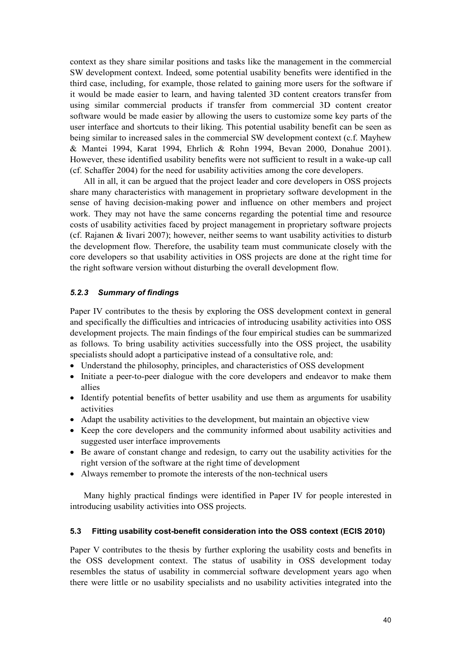context as they share similar positions and tasks like the management in the commercial SW development context. Indeed, some potential usability benefits were identified in the third case, including, for example, those related to gaining more users for the software if it would be made easier to learn, and having talented 3D content creators transfer from using similar commercial products if transfer from commercial 3D content creator software would be made easier by allowing the users to customize some key parts of the user interface and shortcuts to their liking. This potential usability benefit can be seen as being similar to increased sales in the commercial SW development context (c.f. Mayhew & Mantei 1994, Karat 1994, Ehrlich & Rohn 1994, Bevan 2000, Donahue 2001). However, these identified usability benefits were not sufficient to result in a wake-up call (cf. Schaffer 2004) for the need for usability activities among the core developers.

All in all, it can be argued that the project leader and core developers in OSS projects share many characteristics with management in proprietary software development in the sense of having decision-making power and influence on other members and project work. They may not have the same concerns regarding the potential time and resource costs of usability activities faced by project management in proprietary software projects (cf. Rajanen & Iivari 2007); however, neither seems to want usability activities to disturb the development flow. Therefore, the usability team must communicate closely with the core developers so that usability activities in OSS projects are done at the right time for the right software version without disturbing the overall development flow.

## *5.2.3 Summary of findings*

Paper IV contributes to the thesis by exploring the OSS development context in general and specifically the difficulties and intricacies of introducing usability activities into OSS development projects. The main findings of the four empirical studies can be summarized as follows. To bring usability activities successfully into the OSS project, the usability specialists should adopt a participative instead of a consultative role, and:

- Understand the philosophy, principles, and characteristics of OSS development
- Initiate a peer-to-peer dialogue with the core developers and endeavor to make them allies
- Identify potential benefits of better usability and use them as arguments for usability activities
- Adapt the usability activities to the development, but maintain an objective view
- Keep the core developers and the community informed about usability activities and suggested user interface improvements
- Be aware of constant change and redesign, to carry out the usability activities for the right version of the software at the right time of development
- Always remember to promote the interests of the non-technical users

Many highly practical findings were identified in Paper IV for people interested in introducing usability activities into OSS projects.

#### **5.3 Fitting usability cost-benefit consideration into the OSS context (ECIS 2010)**

Paper V contributes to the thesis by further exploring the usability costs and benefits in the OSS development context. The status of usability in OSS development today resembles the status of usability in commercial software development years ago when there were little or no usability specialists and no usability activities integrated into the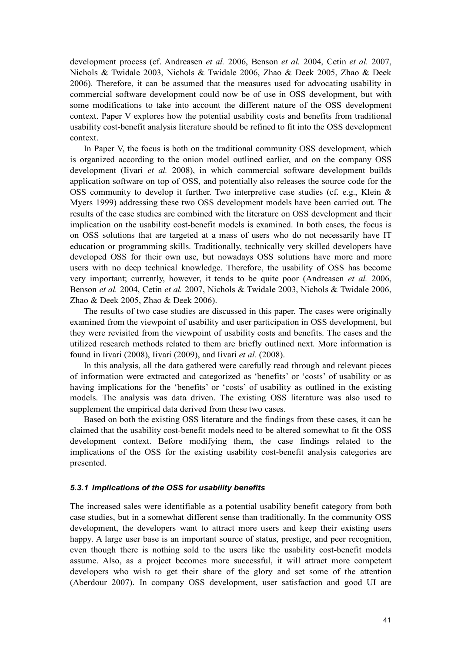development process (cf. Andreasen *et al.* 2006, Benson *et al.* 2004, Cetin *et al.* 2007, Nichols & Twidale 2003, Nichols & Twidale 2006, Zhao & Deek 2005, Zhao & Deek 2006). Therefore, it can be assumed that the measures used for advocating usability in commercial software development could now be of use in OSS development, but with some modifications to take into account the different nature of the OSS development context. Paper V explores how the potential usability costs and benefits from traditional usability cost-benefit analysis literature should be refined to fit into the OSS development context.

In Paper V, the focus is both on the traditional community OSS development, which is organized according to the onion model outlined earlier, and on the company OSS development (Iivari *et al.* 2008), in which commercial software development builds application software on top of OSS, and potentially also releases the source code for the OSS community to develop it further. Two interpretive case studies (cf. e.g., Klein & Myers 1999) addressing these two OSS development models have been carried out. The results of the case studies are combined with the literature on OSS development and their implication on the usability cost-benefit models is examined. In both cases, the focus is on OSS solutions that are targeted at a mass of users who do not necessarily have IT education or programming skills. Traditionally, technically very skilled developers have developed OSS for their own use, but nowadays OSS solutions have more and more users with no deep technical knowledge. Therefore, the usability of OSS has become very important; currently, however, it tends to be quite poor (Andreasen *et al.* 2006, Benson *et al.* 2004, Cetin *et al.* 2007, Nichols & Twidale 2003, Nichols & Twidale 2006, Zhao & Deek 2005, Zhao & Deek 2006).

The results of two case studies are discussed in this paper. The cases were originally examined from the viewpoint of usability and user participation in OSS development, but they were revisited from the viewpoint of usability costs and benefits. The cases and the utilized research methods related to them are briefly outlined next. More information is found in Iivari (2008), Iivari (2009), and Iivari *et al.* (2008).

In this analysis, all the data gathered were carefully read through and relevant pieces of information were extracted and categorized as 'benefits' or 'costs' of usability or as having implications for the 'benefits' or 'costs' of usability as outlined in the existing models. The analysis was data driven. The existing OSS literature was also used to supplement the empirical data derived from these two cases.

Based on both the existing OSS literature and the findings from these cases, it can be claimed that the usability cost-benefit models need to be altered somewhat to fit the OSS development context. Before modifying them, the case findings related to the implications of the OSS for the existing usability cost-benefit analysis categories are presented.

#### *5.3.1 Implications of the OSS for usability benefits*

The increased sales were identifiable as a potential usability benefit category from both case studies, but in a somewhat different sense than traditionally. In the community OSS development, the developers want to attract more users and keep their existing users happy. A large user base is an important source of status, prestige, and peer recognition, even though there is nothing sold to the users like the usability cost-benefit models assume. Also, as a project becomes more successful, it will attract more competent developers who wish to get their share of the glory and set some of the attention (Aberdour 2007). In company OSS development, user satisfaction and good UI are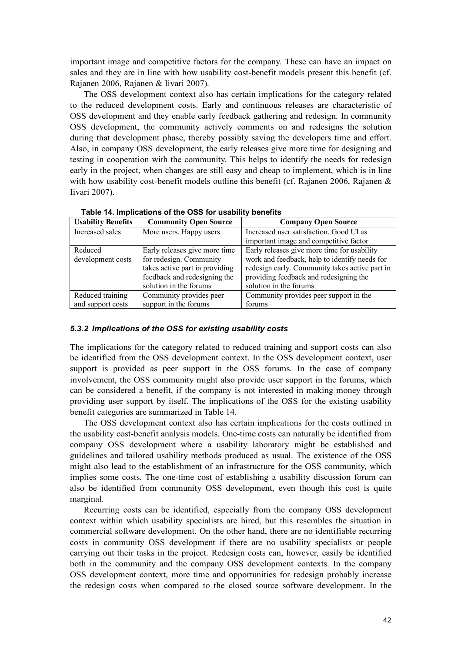important image and competitive factors for the company. These can have an impact on sales and they are in line with how usability cost-benefit models present this benefit (cf. Rajanen 2006, Rajanen & Iivari 2007).

The OSS development context also has certain implications for the category related to the reduced development costs. Early and continuous releases are characteristic of OSS development and they enable early feedback gathering and redesign. In community OSS development, the community actively comments on and redesigns the solution during that development phase, thereby possibly saving the developers time and effort. Also, in company OSS development, the early releases give more time for designing and testing in cooperation with the community. This helps to identify the needs for redesign early in the project, when changes are still easy and cheap to implement, which is in line with how usability cost-benefit models outline this benefit (cf. Rajanen 2006, Rajanen  $\&$ Iivari 2007).

| <b>Usability Benefits</b> | <b>Community Open Source</b>   | <b>Company Open Source</b>                     |
|---------------------------|--------------------------------|------------------------------------------------|
| Increased sales           | More users. Happy users        | Increased user satisfaction. Good UI as        |
|                           |                                | important image and competitive factor         |
| Reduced                   | Early releases give more time  | Early releases give more time for usability    |
| development costs         | for redesign. Community        | work and feedback, help to identify needs for  |
|                           | takes active part in providing | redesign early. Community takes active part in |
|                           | feedback and redesigning the   | providing feedback and redesigning the         |
|                           | solution in the forums         | solution in the forums                         |
| Reduced training          | Community provides peer        | Community provides peer support in the         |
| and support costs         | support in the forums          | forums                                         |

**Table 14. Implications of the OSS for usability benefits**

### *5.3.2 Implications of the OSS for existing usability costs*

The implications for the category related to reduced training and support costs can also be identified from the OSS development context. In the OSS development context, user support is provided as peer support in the OSS forums. In the case of company involvement, the OSS community might also provide user support in the forums, which can be considered a benefit, if the company is not interested in making money through providing user support by itself. The implications of the OSS for the existing usability benefit categories are summarized in Table 14.

The OSS development context also has certain implications for the costs outlined in the usability cost-benefit analysis models. One-time costs can naturally be identified from company OSS development where a usability laboratory might be established and guidelines and tailored usability methods produced as usual. The existence of the OSS might also lead to the establishment of an infrastructure for the OSS community, which implies some costs. The one-time cost of establishing a usability discussion forum can also be identified from community OSS development, even though this cost is quite marginal.

Recurring costs can be identified, especially from the company OSS development context within which usability specialists are hired, but this resembles the situation in commercial software development. On the other hand, there are no identifiable recurring costs in community OSS development if there are no usability specialists or people carrying out their tasks in the project. Redesign costs can, however, easily be identified both in the community and the company OSS development contexts. In the company OSS development context, more time and opportunities for redesign probably increase the redesign costs when compared to the closed source software development. In the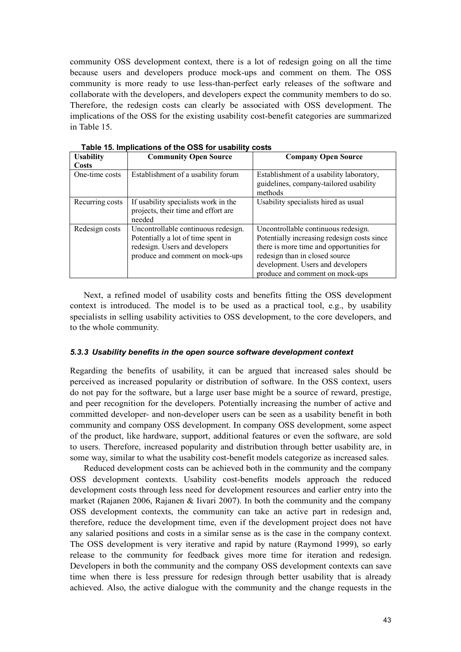community OSS development context, there is a lot of redesign going on all the time because users and developers produce mock-ups and comment on them. The OSS community is more ready to use less-than-perfect early releases of the software and collaborate with the developers, and developers expect the community members to do so. Therefore, the redesign costs can clearly be associated with OSS development. The implications of the OSS for the existing usability cost-benefit categories are summarized in Table 15.

| <b>Usability</b><br><b>Costs</b> | <b>Community Open Source</b>                                                                                                                   | <b>Company Open Source</b>                                                                                                                                                                                                               |
|----------------------------------|------------------------------------------------------------------------------------------------------------------------------------------------|------------------------------------------------------------------------------------------------------------------------------------------------------------------------------------------------------------------------------------------|
| One-time costs                   | Establishment of a usability forum                                                                                                             | Establishment of a usability laboratory,<br>guidelines, company-tailored usability<br>methods                                                                                                                                            |
| Recurring costs                  | If usability specialists work in the<br>projects, their time and effort are<br>needed                                                          | Usability specialists hired as usual                                                                                                                                                                                                     |
| Redesign costs                   | Uncontrollable continuous redesign.<br>Potentially a lot of time spent in<br>redesign. Users and developers<br>produce and comment on mock-ups | Uncontrollable continuous redesign.<br>Potentially increasing redesign costs since<br>there is more time and opportunities for<br>redesign than in closed source<br>development. Users and developers<br>produce and comment on mock-ups |

**Table 15. Implications of the OSS for usability costs**

Next, a refined model of usability costs and benefits fitting the OSS development context is introduced. The model is to be used as a practical tool, e.g., by usability specialists in selling usability activities to OSS development, to the core developers, and to the whole community.

#### *5.3.3 Usability benefits in the open source software development context*

Regarding the benefits of usability, it can be argued that increased sales should be perceived as increased popularity or distribution of software. In the OSS context, users do not pay for the software, but a large user base might be a source of reward, prestige, and peer recognition for the developers. Potentially increasing the number of active and committed developer- and non-developer users can be seen as a usability benefit in both community and company OSS development. In company OSS development, some aspect of the product, like hardware, support, additional features or even the software, are sold to users. Therefore, increased popularity and distribution through better usability are, in some way, similar to what the usability cost-benefit models categorize as increased sales.

Reduced development costs can be achieved both in the community and the company OSS development contexts. Usability cost-benefits models approach the reduced development costs through less need for development resources and earlier entry into the market (Rajanen 2006, Rajanen & Iivari 2007). In both the community and the company OSS development contexts, the community can take an active part in redesign and, therefore, reduce the development time, even if the development project does not have any salaried positions and costs in a similar sense as is the case in the company context. The OSS development is very iterative and rapid by nature (Raymond 1999), so early release to the community for feedback gives more time for iteration and redesign. Developers in both the community and the company OSS development contexts can save time when there is less pressure for redesign through better usability that is already achieved. Also, the active dialogue with the community and the change requests in the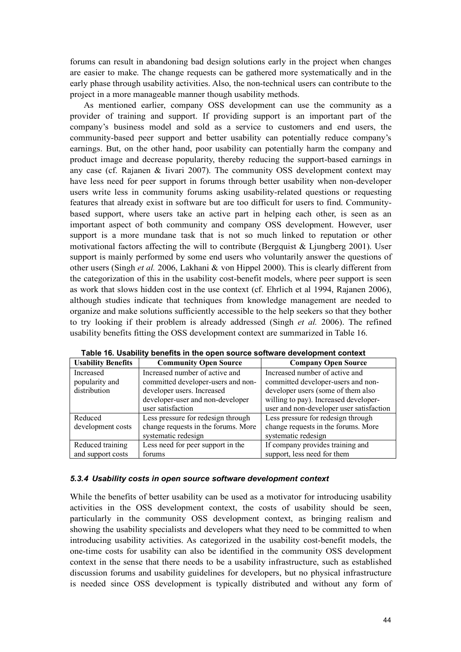forums can result in abandoning bad design solutions early in the project when changes are easier to make. The change requests can be gathered more systematically and in the early phase through usability activities. Also, the non-technical users can contribute to the project in a more manageable manner though usability methods.

As mentioned earlier, company OSS development can use the community as a provider of training and support. If providing support is an important part of the company's business model and sold as a service to customers and end users, the community-based peer support and better usability can potentially reduce company's earnings. But, on the other hand, poor usability can potentially harm the company and product image and decrease popularity, thereby reducing the support-based earnings in any case (cf. Rajanen & Iivari 2007). The community OSS development context may have less need for peer support in forums through better usability when non-developer users write less in community forums asking usability-related questions or requesting features that already exist in software but are too difficult for users to find. Communitybased support, where users take an active part in helping each other, is seen as an important aspect of both community and company OSS development. However, user support is a more mundane task that is not so much linked to reputation or other motivational factors affecting the will to contribute (Bergquist  $& L$  Ljungberg 2001). User support is mainly performed by some end users who voluntarily answer the questions of other users (Singh *et al.* 2006, Lakhani & von Hippel 2000). This is clearly different from the categorization of this in the usability cost-benefit models, where peer support is seen as work that slows hidden cost in the use context (cf. Ehrlich et al 1994, Rajanen 2006), although studies indicate that techniques from knowledge management are needed to organize and make solutions sufficiently accessible to the help seekers so that they bother to try looking if their problem is already addressed (Singh *et al.* 2006). The refined usability benefits fitting the OSS development context are summarized in Table 16.

| <b>Usability Benefits</b> | <b>Community Open Source</b>        | <b>Company Open Source</b>               |
|---------------------------|-------------------------------------|------------------------------------------|
| Increased                 | Increased number of active and      | Increased number of active and           |
| popularity and            | committed developer-users and non-  | committed developer-users and non-       |
| distribution              | developer users. Increased          | developer users (some of them also       |
|                           | developer-user and non-developer    | willing to pay). Increased developer-    |
|                           | user satisfaction                   | user and non-developer user satisfaction |
| Reduced                   | Less pressure for redesign through  | Less pressure for redesign through       |
| development costs         | change requests in the forums. More | change requests in the forums. More      |
|                           | systematic redesign                 | systematic redesign                      |
| Reduced training          | Less need for peer support in the   | If company provides training and         |
| and support costs         | forums                              | support, less need for them              |

**Table 16. Usability benefits in the open source software development context**

#### *5.3.4 Usability costs in open source software development context*

While the benefits of better usability can be used as a motivator for introducing usability activities in the OSS development context, the costs of usability should be seen, particularly in the community OSS development context, as bringing realism and showing the usability specialists and developers what they need to be committed to when introducing usability activities. As categorized in the usability cost-benefit models, the one-time costs for usability can also be identified in the community OSS development context in the sense that there needs to be a usability infrastructure, such as established discussion forums and usability guidelines for developers, but no physical infrastructure is needed since OSS development is typically distributed and without any form of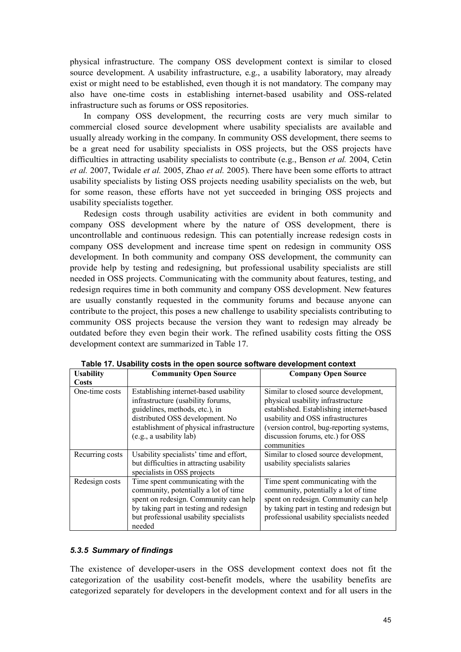physical infrastructure. The company OSS development context is similar to closed source development. A usability infrastructure, e.g., a usability laboratory, may already exist or might need to be established, even though it is not mandatory. The company may also have one-time costs in establishing internet-based usability and OSS-related infrastructure such as forums or OSS repositories.

In company OSS development, the recurring costs are very much similar to commercial closed source development where usability specialists are available and usually already working in the company. In community OSS development, there seems to be a great need for usability specialists in OSS projects, but the OSS projects have difficulties in attracting usability specialists to contribute (e.g., Benson *et al.* 2004, Cetin *et al.* 2007, Twidale *et al.* 2005, Zhao *et al.* 2005). There have been some efforts to attract usability specialists by listing OSS projects needing usability specialists on the web, but for some reason, these efforts have not yet succeeded in bringing OSS projects and usability specialists together.

Redesign costs through usability activities are evident in both community and company OSS development where by the nature of OSS development, there is uncontrollable and continuous redesign. This can potentially increase redesign costs in company OSS development and increase time spent on redesign in community OSS development. In both community and company OSS development, the community can provide help by testing and redesigning, but professional usability specialists are still needed in OSS projects. Communicating with the community about features, testing, and redesign requires time in both community and company OSS development. New features are usually constantly requested in the community forums and because anyone can contribute to the project, this poses a new challenge to usability specialists contributing to community OSS projects because the version they want to redesign may already be outdated before they even begin their work. The refined usability costs fitting the OSS development context are summarized in Table 17.

| <b>Usability</b> | <b>Community Open Source</b>                                                                                                                                                                                           | <b>Company Open Source</b>                                                                                                                                                                                                                                 |
|------------------|------------------------------------------------------------------------------------------------------------------------------------------------------------------------------------------------------------------------|------------------------------------------------------------------------------------------------------------------------------------------------------------------------------------------------------------------------------------------------------------|
| Costs            |                                                                                                                                                                                                                        |                                                                                                                                                                                                                                                            |
| One-time costs   | Establishing internet-based usability<br>infrastructure (usability forums,<br>guidelines, methods, etc.), in<br>distributed OSS development. No<br>establishment of physical infrastructure<br>(e.g., a usability lab) | Similar to closed source development,<br>physical usability infrastructure<br>established. Establishing internet-based<br>usability and OSS infrastructures<br>(version control, bug-reporting systems,<br>discussion forums, etc.) for OSS<br>communities |
| Recurring costs  | Usability specialists' time and effort,<br>but difficulties in attracting usability<br>specialists in OSS projects                                                                                                     | Similar to closed source development,<br>usability specialists salaries                                                                                                                                                                                    |
| Redesign costs   | Time spent communicating with the<br>community, potentially a lot of time<br>spent on redesign. Community can help<br>by taking part in testing and redesign<br>but professional usability specialists<br>needed       | Time spent communicating with the<br>community, potentially a lot of time<br>spent on redesign. Community can help<br>by taking part in testing and redesign but<br>professional usability specialists needed                                              |

**Table 17. Usability costs in the open source software development context**

#### *5.3.5 Summary of findings*

The existence of developer-users in the OSS development context does not fit the categorization of the usability cost-benefit models, where the usability benefits are categorized separately for developers in the development context and for all users in the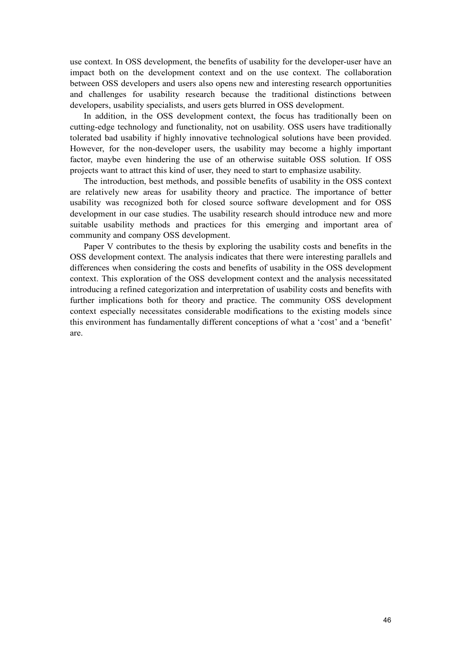use context. In OSS development, the benefits of usability for the developer-user have an impact both on the development context and on the use context. The collaboration between OSS developers and users also opens new and interesting research opportunities and challenges for usability research because the traditional distinctions between developers, usability specialists, and users gets blurred in OSS development.

In addition, in the OSS development context, the focus has traditionally been on cutting-edge technology and functionality, not on usability. OSS users have traditionally tolerated bad usability if highly innovative technological solutions have been provided. However, for the non-developer users, the usability may become a highly important factor, maybe even hindering the use of an otherwise suitable OSS solution. If OSS projects want to attract this kind of user, they need to start to emphasize usability.

The introduction, best methods, and possible benefits of usability in the OSS context are relatively new areas for usability theory and practice. The importance of better usability was recognized both for closed source software development and for OSS development in our case studies. The usability research should introduce new and more suitable usability methods and practices for this emerging and important area of community and company OSS development.

Paper V contributes to the thesis by exploring the usability costs and benefits in the OSS development context. The analysis indicates that there were interesting parallels and differences when considering the costs and benefits of usability in the OSS development context. This exploration of the OSS development context and the analysis necessitated introducing a refined categorization and interpretation of usability costs and benefits with further implications both for theory and practice. The community OSS development context especially necessitates considerable modifications to the existing models since this environment has fundamentally different conceptions of what a 'cost' and a 'benefit' are.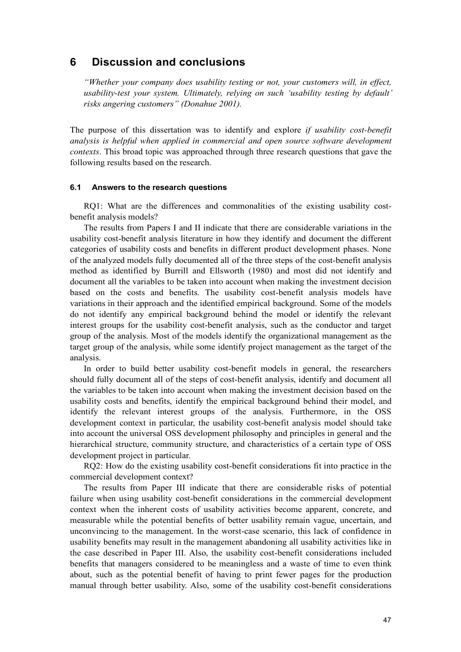# **6 Discussion and conclusions**

*"Whether your company does usability testing or not, your customers will, in effect, usability-test your system. Ultimately, relying on such 'usability testing by default' risks angering customers" (Donahue 2001).*

The purpose of this dissertation was to identify and explore *if usability cost-benefit analysis is helpful when applied in commercial and open source software development contexts*. This broad topic was approached through three research questions that gave the following results based on the research.

#### **6.1 Answers to the research questions**

RQ1: What are the differences and commonalities of the existing usability costbenefit analysis models?

The results from Papers I and II indicate that there are considerable variations in the usability cost-benefit analysis literature in how they identify and document the different categories of usability costs and benefits in different product development phases. None of the analyzed models fully documented all of the three steps of the cost-benefit analysis method as identified by Burrill and Ellsworth (1980) and most did not identify and document all the variables to be taken into account when making the investment decision based on the costs and benefits. The usability cost-benefit analysis models have variations in their approach and the identified empirical background. Some of the models do not identify any empirical background behind the model or identify the relevant interest groups for the usability cost-benefit analysis, such as the conductor and target group of the analysis. Most of the models identify the organizational management as the target group of the analysis, while some identify project management as the target of the analysis.

In order to build better usability cost-benefit models in general, the researchers should fully document all of the steps of cost-benefit analysis, identify and document all the variables to be taken into account when making the investment decision based on the usability costs and benefits, identify the empirical background behind their model, and identify the relevant interest groups of the analysis. Furthermore, in the OSS development context in particular, the usability cost-benefit analysis model should take into account the universal OSS development philosophy and principles in general and the hierarchical structure, community structure, and characteristics of a certain type of OSS development project in particular.

RQ2: How do the existing usability cost-benefit considerations fit into practice in the commercial development context?

The results from Paper III indicate that there are considerable risks of potential failure when using usability cost-benefit considerations in the commercial development context when the inherent costs of usability activities become apparent, concrete, and measurable while the potential benefits of better usability remain vague, uncertain, and unconvincing to the management. In the worst-case scenario, this lack of confidence in usability benefits may result in the management abandoning all usability activities like in the case described in Paper III. Also, the usability cost-benefit considerations included benefits that managers considered to be meaningless and a waste of time to even think about, such as the potential benefit of having to print fewer pages for the production manual through better usability. Also, some of the usability cost-benefit considerations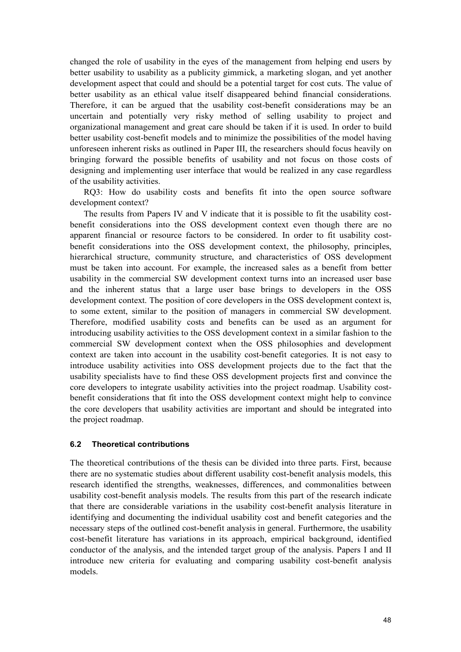changed the role of usability in the eyes of the management from helping end users by better usability to usability as a publicity gimmick, a marketing slogan, and yet another development aspect that could and should be a potential target for cost cuts. The value of better usability as an ethical value itself disappeared behind financial considerations. Therefore, it can be argued that the usability cost-benefit considerations may be an uncertain and potentially very risky method of selling usability to project and organizational management and great care should be taken if it is used. In order to build better usability cost-benefit models and to minimize the possibilities of the model having unforeseen inherent risks as outlined in Paper III, the researchers should focus heavily on bringing forward the possible benefits of usability and not focus on those costs of designing and implementing user interface that would be realized in any case regardless of the usability activities.

RQ3: How do usability costs and benefits fit into the open source software development context?

The results from Papers IV and V indicate that it is possible to fit the usability costbenefit considerations into the OSS development context even though there are no apparent financial or resource factors to be considered. In order to fit usability costbenefit considerations into the OSS development context, the philosophy, principles, hierarchical structure, community structure, and characteristics of OSS development must be taken into account. For example, the increased sales as a benefit from better usability in the commercial SW development context turns into an increased user base and the inherent status that a large user base brings to developers in the OSS development context. The position of core developers in the OSS development context is, to some extent, similar to the position of managers in commercial SW development. Therefore, modified usability costs and benefits can be used as an argument for introducing usability activities to the OSS development context in a similar fashion to the commercial SW development context when the OSS philosophies and development context are taken into account in the usability cost-benefit categories. It is not easy to introduce usability activities into OSS development projects due to the fact that the usability specialists have to find these OSS development projects first and convince the core developers to integrate usability activities into the project roadmap. Usability costbenefit considerations that fit into the OSS development context might help to convince the core developers that usability activities are important and should be integrated into the project roadmap.

### **6.2 Theoretical contributions**

The theoretical contributions of the thesis can be divided into three parts. First, because there are no systematic studies about different usability cost-benefit analysis models, this research identified the strengths, weaknesses, differences, and commonalities between usability cost-benefit analysis models. The results from this part of the research indicate that there are considerable variations in the usability cost-benefit analysis literature in identifying and documenting the individual usability cost and benefit categories and the necessary steps of the outlined cost-benefit analysis in general. Furthermore, the usability cost-benefit literature has variations in its approach, empirical background, identified conductor of the analysis, and the intended target group of the analysis. Papers I and II introduce new criteria for evaluating and comparing usability cost-benefit analysis models.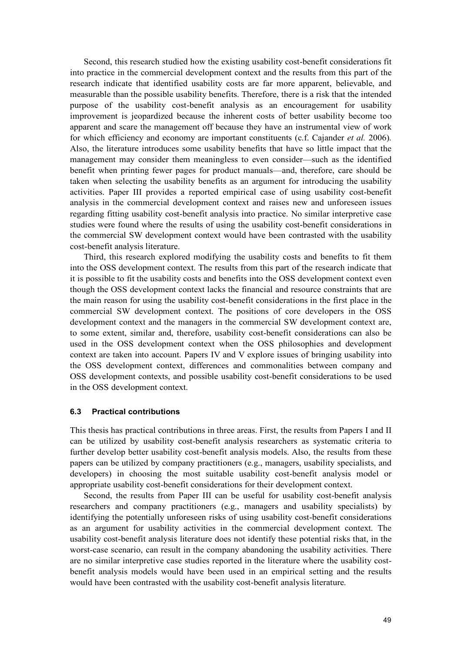Second, this research studied how the existing usability cost-benefit considerations fit into practice in the commercial development context and the results from this part of the research indicate that identified usability costs are far more apparent, believable, and measurable than the possible usability benefits. Therefore, there is a risk that the intended purpose of the usability cost-benefit analysis as an encouragement for usability improvement is jeopardized because the inherent costs of better usability become too apparent and scare the management off because they have an instrumental view of work for which efficiency and economy are important constituents (c.f. Cajander *et al.* 2006). Also, the literature introduces some usability benefits that have so little impact that the management may consider them meaningless to even consider—such as the identified benefit when printing fewer pages for product manuals—and, therefore, care should be taken when selecting the usability benefits as an argument for introducing the usability activities. Paper III provides a reported empirical case of using usability cost-benefit analysis in the commercial development context and raises new and unforeseen issues regarding fitting usability cost-benefit analysis into practice. No similar interpretive case studies were found where the results of using the usability cost-benefit considerations in the commercial SW development context would have been contrasted with the usability cost-benefit analysis literature.

Third, this research explored modifying the usability costs and benefits to fit them into the OSS development context. The results from this part of the research indicate that it is possible to fit the usability costs and benefits into the OSS development context even though the OSS development context lacks the financial and resource constraints that are the main reason for using the usability cost-benefit considerations in the first place in the commercial SW development context. The positions of core developers in the OSS development context and the managers in the commercial SW development context are, to some extent, similar and, therefore, usability cost-benefit considerations can also be used in the OSS development context when the OSS philosophies and development context are taken into account. Papers IV and V explore issues of bringing usability into the OSS development context, differences and commonalities between company and OSS development contexts, and possible usability cost-benefit considerations to be used in the OSS development context.

#### **6.3 Practical contributions**

This thesis has practical contributions in three areas. First, the results from Papers I and II can be utilized by usability cost-benefit analysis researchers as systematic criteria to further develop better usability cost-benefit analysis models. Also, the results from these papers can be utilized by company practitioners (e.g., managers, usability specialists, and developers) in choosing the most suitable usability cost-benefit analysis model or appropriate usability cost-benefit considerations for their development context.

Second, the results from Paper III can be useful for usability cost-benefit analysis researchers and company practitioners (e.g., managers and usability specialists) by identifying the potentially unforeseen risks of using usability cost-benefit considerations as an argument for usability activities in the commercial development context. The usability cost-benefit analysis literature does not identify these potential risks that, in the worst-case scenario, can result in the company abandoning the usability activities. There are no similar interpretive case studies reported in the literature where the usability costbenefit analysis models would have been used in an empirical setting and the results would have been contrasted with the usability cost-benefit analysis literature.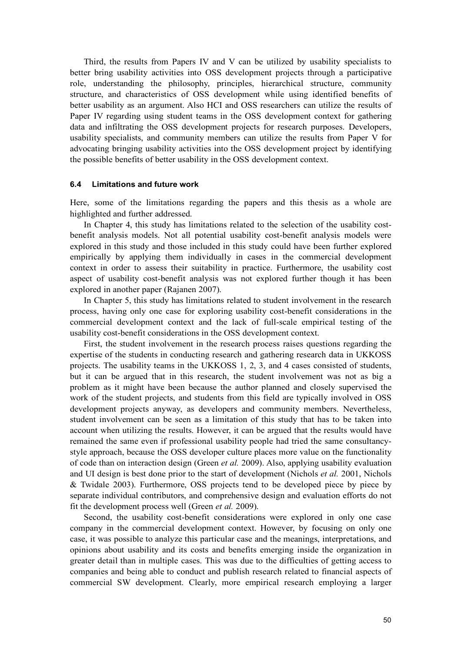Third, the results from Papers IV and V can be utilized by usability specialists to better bring usability activities into OSS development projects through a participative role, understanding the philosophy, principles, hierarchical structure, community structure, and characteristics of OSS development while using identified benefits of better usability as an argument. Also HCI and OSS researchers can utilize the results of Paper IV regarding using student teams in the OSS development context for gathering data and infiltrating the OSS development projects for research purposes. Developers, usability specialists, and community members can utilize the results from Paper V for advocating bringing usability activities into the OSS development project by identifying the possible benefits of better usability in the OSS development context.

#### **6.4 Limitations and future work**

Here, some of the limitations regarding the papers and this thesis as a whole are highlighted and further addressed.

In Chapter 4, this study has limitations related to the selection of the usability costbenefit analysis models. Not all potential usability cost-benefit analysis models were explored in this study and those included in this study could have been further explored empirically by applying them individually in cases in the commercial development context in order to assess their suitability in practice. Furthermore, the usability cost aspect of usability cost-benefit analysis was not explored further though it has been explored in another paper (Rajanen 2007).

In Chapter 5, this study has limitations related to student involvement in the research process, having only one case for exploring usability cost-benefit considerations in the commercial development context and the lack of full-scale empirical testing of the usability cost-benefit considerations in the OSS development context.

First, the student involvement in the research process raises questions regarding the expertise of the students in conducting research and gathering research data in UKKOSS projects. The usability teams in the UKKOSS 1, 2, 3, and 4 cases consisted of students, but it can be argued that in this research, the student involvement was not as big a problem as it might have been because the author planned and closely supervised the work of the student projects, and students from this field are typically involved in OSS development projects anyway, as developers and community members. Nevertheless, student involvement can be seen as a limitation of this study that has to be taken into account when utilizing the results. However, it can be argued that the results would have remained the same even if professional usability people had tried the same consultancystyle approach, because the OSS developer culture places more value on the functionality of code than on interaction design (Green *et al.* 2009). Also, applying usability evaluation and UI design is best done prior to the start of development (Nichols *et al.* 2001, Nichols & Twidale 2003). Furthermore, OSS projects tend to be developed piece by piece by separate individual contributors, and comprehensive design and evaluation efforts do not fit the development process well (Green *et al.* 2009).

Second, the usability cost-benefit considerations were explored in only one case company in the commercial development context. However, by focusing on only one case, it was possible to analyze this particular case and the meanings, interpretations, and opinions about usability and its costs and benefits emerging inside the organization in greater detail than in multiple cases. This was due to the difficulties of getting access to companies and being able to conduct and publish research related to financial aspects of commercial SW development. Clearly, more empirical research employing a larger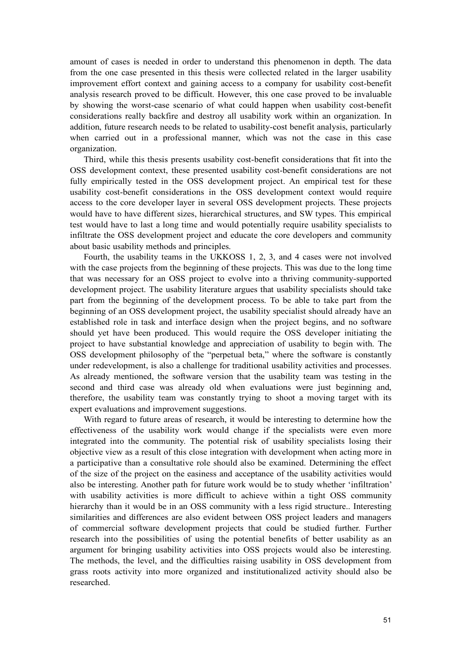amount of cases is needed in order to understand this phenomenon in depth. The data from the one case presented in this thesis were collected related in the larger usability improvement effort context and gaining access to a company for usability cost-benefit analysis research proved to be difficult. However, this one case proved to be invaluable by showing the worst-case scenario of what could happen when usability cost-benefit considerations really backfire and destroy all usability work within an organization. In addition, future research needs to be related to usability-cost benefit analysis, particularly when carried out in a professional manner, which was not the case in this case organization.

Third, while this thesis presents usability cost-benefit considerations that fit into the OSS development context, these presented usability cost-benefit considerations are not fully empirically tested in the OSS development project. An empirical test for these usability cost-benefit considerations in the OSS development context would require access to the core developer layer in several OSS development projects. These projects would have to have different sizes, hierarchical structures, and SW types. This empirical test would have to last a long time and would potentially require usability specialists to infiltrate the OSS development project and educate the core developers and community about basic usability methods and principles.

Fourth, the usability teams in the UKKOSS 1, 2, 3, and 4 cases were not involved with the case projects from the beginning of these projects. This was due to the long time that was necessary for an OSS project to evolve into a thriving community-supported development project. The usability literature argues that usability specialists should take part from the beginning of the development process. To be able to take part from the beginning of an OSS development project, the usability specialist should already have an established role in task and interface design when the project begins, and no software should yet have been produced. This would require the OSS developer initiating the project to have substantial knowledge and appreciation of usability to begin with. The OSS development philosophy of the "perpetual beta," where the software is constantly under redevelopment, is also a challenge for traditional usability activities and processes. As already mentioned, the software version that the usability team was testing in the second and third case was already old when evaluations were just beginning and, therefore, the usability team was constantly trying to shoot a moving target with its expert evaluations and improvement suggestions.

With regard to future areas of research, it would be interesting to determine how the effectiveness of the usability work would change if the specialists were even more integrated into the community. The potential risk of usability specialists losing their objective view as a result of this close integration with development when acting more in a participative than a consultative role should also be examined. Determining the effect of the size of the project on the easiness and acceptance of the usability activities would also be interesting. Another path for future work would be to study whether 'infiltration' with usability activities is more difficult to achieve within a tight OSS community hierarchy than it would be in an OSS community with a less rigid structure.. Interesting similarities and differences are also evident between OSS project leaders and managers of commercial software development projects that could be studied further. Further research into the possibilities of using the potential benefits of better usability as an argument for bringing usability activities into OSS projects would also be interesting. The methods, the level, and the difficulties raising usability in OSS development from grass roots activity into more organized and institutionalized activity should also be researched.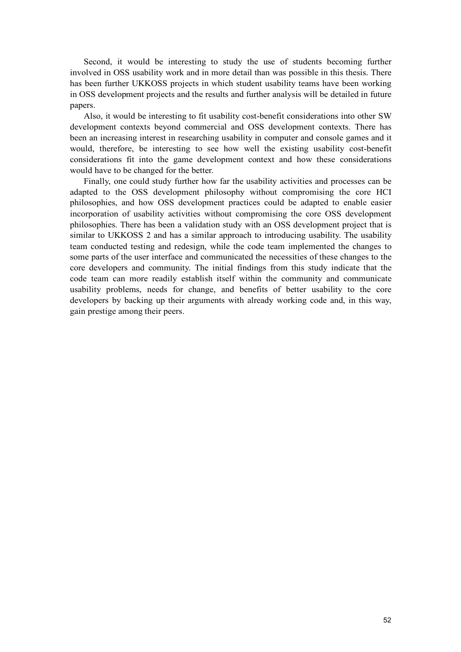Second, it would be interesting to study the use of students becoming further involved in OSS usability work and in more detail than was possible in this thesis. There has been further UKKOSS projects in which student usability teams have been working in OSS development projects and the results and further analysis will be detailed in future papers.

Also, it would be interesting to fit usability cost-benefit considerations into other SW development contexts beyond commercial and OSS development contexts. There has been an increasing interest in researching usability in computer and console games and it would, therefore, be interesting to see how well the existing usability cost-benefit considerations fit into the game development context and how these considerations would have to be changed for the better.

Finally, one could study further how far the usability activities and processes can be adapted to the OSS development philosophy without compromising the core HCI philosophies, and how OSS development practices could be adapted to enable easier incorporation of usability activities without compromising the core OSS development philosophies. There has been a validation study with an OSS development project that is similar to UKKOSS 2 and has a similar approach to introducing usability. The usability team conducted testing and redesign, while the code team implemented the changes to some parts of the user interface and communicated the necessities of these changes to the core developers and community. The initial findings from this study indicate that the code team can more readily establish itself within the community and communicate usability problems, needs for change, and benefits of better usability to the core developers by backing up their arguments with already working code and, in this way, gain prestige among their peers.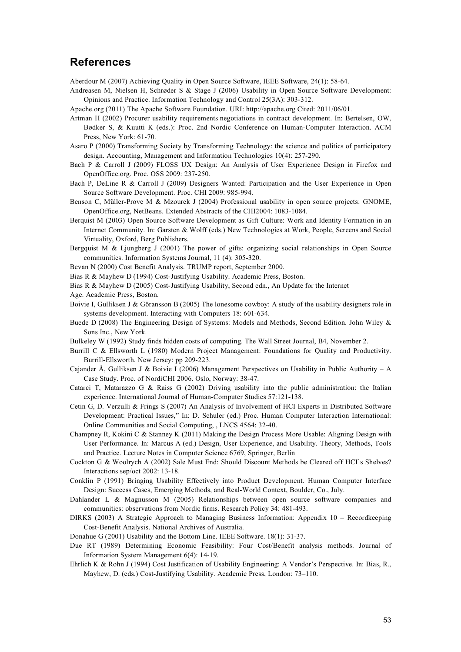# **References**

Aberdour M (2007) Achieving Quality in Open Source Software, IEEE Software, 24(1): 58-64.

- Andreasen M, Nielsen H, Schrøder S & Stage J (2006) Usability in Open Source Software Development: Opinions and Practice. Information Technology and Control 25(3A): 303-312.
- Apache.org (2011) The Apache Software Foundation. URI: http://apache.org Cited: 2011/06/01.
- Artman H (2002) Procurer usability requirements negotiations in contract development. In: Bertelsen, OW, Bødker S, & Kuutti K (eds.): Proc. 2nd Nordic Conference on Human-Computer Interaction. ACM Press, New York: 61-70.
- Asaro P (2000) Transforming Society by Transforming Technology: the science and politics of participatory design. Accounting, Management and Information Technologies 10(4): 257-290.
- Bach P & Carroll J (2009) FLOSS UX Design: An Analysis of User Experience Design in Firefox and OpenOffice.org. Proc. OSS 2009: 237-250.
- Bach P, DeLine R & Carroll J (2009) Designers Wanted: Participation and the User Experience in Open Source Software Development. Proc. CHI 2009: 985-994.
- Benson C, Müller-Prove M & Mzourek J (2004) Professional usability in open source projects: GNOME, OpenOffice.org, NetBeans. Extended Abstracts of the CHI2004: 1083-1084.
- Berquist M (2003) Open Source Software Development as Gift Culture: Work and Identity Formation in an Internet Community. In: Garsten & Wolff (eds.) New Technologies at Work, People, Screens and Social Virtuality, Oxford, Berg Publishers.
- Bergquist M & Ljungberg J (2001) The power of gifts: organizing social relationships in Open Source communities. Information Systems Journal, 11 (4): 305-320.
- Bevan N (2000) Cost Benefit Analysis. TRUMP report, September 2000.
- Bias R & Mayhew D (1994) Cost-Justifying Usability. Academic Press, Boston.

Bias R & Mayhew D (2005) Cost-Justifying Usability, Second edn., An Update for the Internet

Age. Academic Press, Boston.

- Boivie I, Gulliksen J & Göransson B (2005) The lonesome cowboy: A study of the usability designers role in systems development. Interacting with Computers 18: 601-634.
- Buede D (2008) The Engineering Design of Systems: Models and Methods, Second Edition. John Wiley & Sons Inc., New York.
- Bulkeley W (1992) Study finds hidden costs of computing. The Wall Street Journal, B4, November 2.
- Burrill C & Ellsworth L (1980) Modern Project Management: Foundations for Quality and Productivity. Burrill-Ellsworth. New Jersey: pp 209-223.
- Cajander Å, Gulliksen J & Boivie I (2006) Management Perspectives on Usability in Public Authority A Case Study. Proc. of NordiCHI 2006. Oslo, Norway: 38-47.
- Catarci T, Matarazzo G & Raiss G (2002) Driving usability into the public administration: the Italian experience. International Journal of Human-Computer Studies 57:121-138.
- Cetin G, D. Verzulli & Frings S (2007) An Analysis of Involvement of HCI Experts in Distributed Software Development: Practical Issues," In: D. Schuler (ed.) Proc. Human Computer Interaction International: Online Communities and Social Computing, , LNCS 4564: 32-40.
- Champney R, Kokini C & Stanney K (2011) Making the Design Process More Usable: Aligning Design with User Performance. In: Marcus A (ed.) Design, User Experience, and Usability. Theory, Methods, Tools and Practice. Lecture Notes in Computer Science 6769, Springer, Berlin
- Cockton G & Woolrych A (2002) Sale Must End: Should Discount Methods be Cleared off HCI's Shelves? Interactions sep/oct 2002: 13-18.
- Conklin P (1991) Bringing Usability Effectively into Product Development. Human Computer Interface Design: Success Cases, Emerging Methods, and Real-World Context, Boulder, Co., July.
- Dahlander L & Magnusson M (2005) Relationships between open source software companies and communities: observations from Nordic firms. Research Policy 34: 481-493.
- DIRKS (2003) A Strategic Approach to Managing Business Information: Appendix 10 Recordkeeping Cost-Benefit Analysis. National Archives of Australia.
- Donahue G (2001) Usability and the Bottom Line. IEEE Software. 18(1): 31-37.
- Due RT (1989) Determining Economic Feasibility: Four Cost/Benefit analysis methods. Journal of Information System Management 6(4): 14-19.
- Ehrlich K & Rohn J (1994) Cost Justification of Usability Engineering: A Vendor's Perspective. In: Bias, R., Mayhew, D. (eds.) Cost-Justifying Usability. Academic Press, London: 73–110.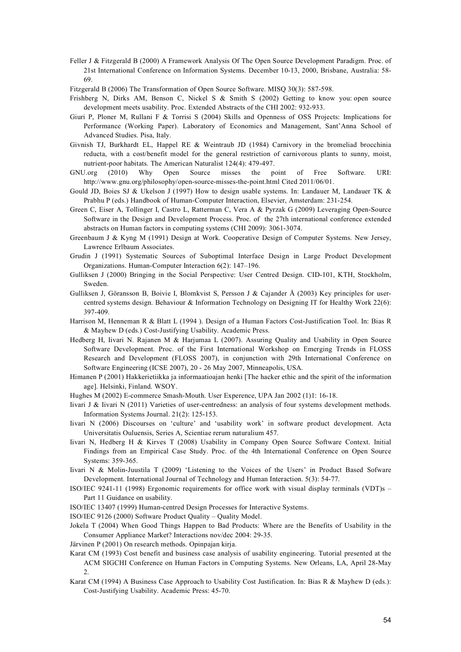- Feller J & Fitzgerald B (2000) A Framework Analysis Of The Open Source Development Paradigm. Proc. of 21st International Conference on Information Systems. December 10-13, 2000, Brisbane, Australia: 58- 69.
- Fitzgerald B (2006) The Transformation of Open Source Software. MISQ 30(3): 587-598.
- Frishberg N, Dirks AM, Benson C, Nickel S & Smith S (2002) Getting to know you: open source development meets usability. Proc. Extended Abstracts of the CHI 2002: 932-933.
- Giuri P, Ploner M, Rullani F & Torrisi S (2004) Skills and Openness of OSS Projects: Implications for Performance (Working Paper). Laboratory of Economics and Management, Sant'Anna School of Advanced Studies. Pisa, Italy.
- Givnish TJ, Burkhardt EL, Happel RE & Weintraub JD (1984) Carnivory in the bromeliad brocchinia reducta, with a cost/benefit model for the general restriction of carnivorous plants to sunny, moist, nutrient-poor habitats. The American Naturalist 124(4): 479-497.
- GNU.org (2010) Why Open Source misses the point of Free Software. URI: http://www.gnu.org/philosophy/open-source-misses-the-point.html Cited 2011/06/01.
- Gould JD, Boies SJ & Ukelson J (1997) How to design usable systems. In: Landauer M, Landauer TK & Prabhu P (eds.) Handbook of Human-Computer Interaction, Elsevier, Amsterdam: 231-254.
- Green C, Eiser A, Tollinger I, Castro L, Ratterman C, Vera A & Pyrzak G (2009) Leveraging Open-Source Software in the Design and Development Process. Proc. of the 27th international conference extended abstracts on Human factors in computing systems (CHI 2009): 3061-3074.
- Greenbaum J & Kyng M (1991) Design at Work. Cooperative Design of Computer Systems. New Jersey, Lawrence Erlbaum Associates.
- Grudin J (1991) Systematic Sources of Suboptimal Interface Design in Large Product Development Organizations. Human-Computer Interaction 6(2): 147–196.
- Gulliksen J (2000) Bringing in the Social Perspective: User Centred Design. CID-101, KTH, Stockholm, Sweden.
- Gulliksen J, Göransson B, Boivie I, Blomkvist S, Persson J & Cajander Å (2003) Key principles for usercentred systems design. Behaviour & Information Technology on Designing IT for Healthy Work 22(6): 397-409.
- Harrison M, Henneman R & Blatt L (1994 ). Design of a Human Factors Cost-Justification Tool. In: Bias R & Mayhew D (eds.) Cost-Justifying Usability. Academic Press.
- Hedberg H, Iivari N. Rajanen M & Harjumaa L (2007). Assuring Quality and Usability in Open Source Software Development. Proc. of the First International Workshop on Emerging Trends in FLOSS Research and Development (FLOSS 2007), in conjunction with 29th International Conference on Software Engineering (ICSE 2007), 20 - 26 May 2007, Minneapolis, USA.
- Himanen P (2001) Hakkerietiikka ja informaatioajan henki [The hacker ethic and the spirit of the information age]. Helsinki, Finland. WSOY.
- Hughes M (2002) E-commerce Smash-Mouth. User Experence, UPA Jan 2002 (1)1: 16-18.
- Iivari J & Iivari N (2011) Varieties of user-centredness: an analysis of four systems development methods. Information Systems Journal. 21(2): 125-153.
- Iivari N (2006) Discourses on 'culture' and 'usability work' in software product development. Acta Universitatis Ouluensis, Series A, Scientiae rerum naturalium 457.
- Iivari N, Hedberg H & Kirves T (2008) Usability in Company Open Source Software Context. Initial Findings from an Empirical Case Study. Proc. of the 4th International Conference on Open Source Systems: 359-365.
- Iivari N & Molin-Juustila T (2009) 'Listening to the Voices of the Users' in Product Based Sofware Development. International Journal of Technology and Human Interaction. 5(3): 54-77.
- ISO/IEC 9241-11 (1998) Ergonomic requirements for office work with visual display terminals (VDT)s Part 11 Guidance on usability.
- ISO/IEC 13407 (1999) Human-centred Design Processes for Interactive Systems.
- ISO/IEC 9126 (2000) Software Product Quality Quality Model.
- Jokela T (2004) When Good Things Happen to Bad Products: Where are the Benefits of Usability in the Consumer Appliance Market? Interactions nov/dec 2004: 29-35.
- Järvinen P (2001) On research methods. Opinpajan kirja.
- Karat CM (1993) Cost benefit and business case analysis of usability engineering. Tutorial presented at the ACM SIGCHI Conference on Human Factors in Computing Systems. New Orleans, LA, April 28-May 2.
- Karat CM (1994) A Business Case Approach to Usability Cost Justification. In: Bias R & Mayhew D (eds.): Cost-Justifying Usability. Academic Press: 45-70.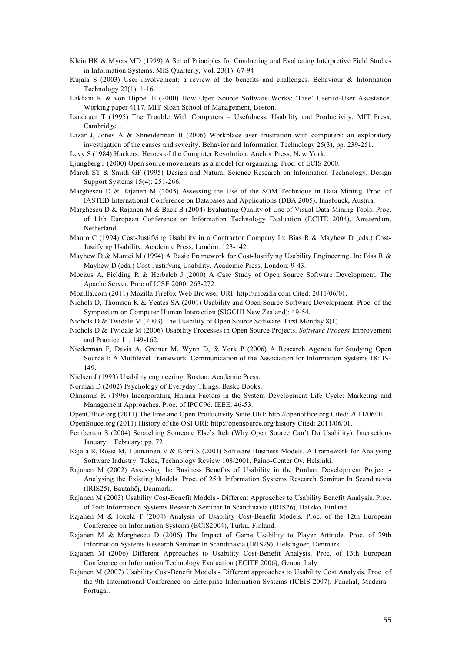- Klein HK & Myers MD (1999) A Set of Principles for Conducting and Evaluating Interpretive Field Studies in Information Systems. MIS Quarterly, Vol. 23(1): 67-94
- Kujala S (2003) User involvement: a review of the benefits and challenges. Behaviour & Information Technology 22(1): 1-16.
- Lakhani K & von Hippel E (2000) How Open Source Software Works: 'Free' User-to-User Assistance. Working paper 4117. MIT Sloan School of Management, Boston.
- Landauer T (1995) The Trouble With Computers Usefulness, Usability and Productivity. MIT Press, Cambridge.
- Lazar J, Jones A & Shneiderman B (2006) Workplace user frustration with computers: an exploratory investigation of the causes and severity. Behavior and Information Technology 25(3), pp. 239-251.
- Levy S (1984) Hackers: Heroes of the Computer Revolution. Anchor Press, New York.
- Ljungberg J (2000) Open source movements as a model for organizing. Proc. of ECIS 2000.
- March ST & Smith GF (1995) Design and Natural Science Research on Information Technology. Design Support Systems 15(4): 251-266.
- Marghescu D & Rajanen M (2005) Assessing the Use of the SOM Technique in Data Mining. Proc. of IASTED International Conference on Databases and Applications (DBA 2005), Innsbruck, Austria.
- Marghescu D & Rajanen M & Back B (2004) Evaluating Quality of Use of Visual Data-Mining Tools. Proc. of 11th European Conference on Information Technology Evaluation (ECITE 2004), Amsterdam, Netherland.
- Mauro C (1994) Cost-Justifying Usability in a Contractor Company In: Bias R & Mayhew D (eds.) Cost-Justifying Usability. Academic Press, London: 123-142.
- Mayhew D & Mantei M (1994) A Basic Framework for Cost-Justifying Usability Engineering. In: Bias R & Mayhew D (eds.) Cost-Justifying Usability. Academic Press, London: 9-43.
- Mockus A, Fielding R & Herbsleb J (2000) A Case Study of Open Source Software Development. The Apache Server. Proc of ICSE 2000: 263-272.
- Mozilla.com (2011) Mozilla Firefox Web Browser URI: http://mozilla.com Cited: 2011/06/01.
- Nichols D, Thomson K & Yeates SA (2001) Usability and Open Source Software Development. Proc. of the Symposium on Computer Human Interaction (SIGCHI New Zealand): 49-54.
- Nichols D & Twidale M (2003) The Usability of Open Source Software. First Monday 8(1).
- Nichols D & Twidale M (2006) Usability Processes in Open Source Projects. *Software Process* Improvement and Practice 11: 149-162.
- Niederman F, Davis A, Greiner M, Wynn D, & York P (2006) A Research Agenda for Studying Open Source I: A Multilevel Framework. Communication of the Association for Information Systems 18: 19- 149.
- Nielsen J (1993) Usability engineering. Boston: Academic Press.
- Norman D (2002) Psychology of Everyday Things. Baskc Books.
- Ohnemus K (1996) Incorporating Human Factors in the System Development Life Cycle: Marketing and Management Approaches. Proc. of IPCC96. IEEE: 46-53.
- OpenOffice.org (2011) The Free and Open Productivity Suite URI: http://openoffice.org Cited: 2011/06/01.

OpenSouce.org (2011) History of the OSI URI: http://opensource.org/history Cited: 2011/06/01.

- Pemberton S (2004) Scratching Someone Else's Itch (Why Open Source Can't Do Usability). Interactions January + February: pp. 72
- Rajala R, Rossi M, Tuunainen V & Korri S (2001) Software Business Models. A Framework for Analysing Software Industry. Tekes, Technology Review 108/2001, Paino-Center Oy, Helsinki.
- Rajanen M (2002) Assessing the Business Benefits of Usability in the Product Development Project Analysing the Existing Models. Proc. of 25th Information Systems Research Seminar In Scandinavia (IRIS25), Bautahöj, Denmark.
- Rajanen M (2003) Usability Cost-Benefit Models Different Approaches to Usability Benefit Analysis. Proc. of 26th Information Systems Research Seminar In Scandinavia (IRIS26), Haikko, Finland.
- Rajanen M & Jokela T (2004) Analysis of Usability Cost-Benefit Models. Proc. of the 12th European Conference on Information Systems (ECIS2004), Turku, Finland.
- Rajanen M & Marghescu D (2006) The Impact of Game Usability to Player Attitude. Proc. of 29th Information Systems Research Seminar In Scandinavia (IRIS29), Helsingoer, Denmark.
- Rajanen M (2006) Different Approaches to Usability Cost-Benefit Analysis. Proc. of 13th European Conference on Information Technology Evaluation (ECITE 2006), Genoa, Italy.
- Rajanen M (2007) Usability Cost-Benefit Models Different approaches to Usability Cost Analysis. Proc. of the 9th International Conference on Enterprise Information Systems (ICEIS 2007). Funchal, Madeira - Portugal.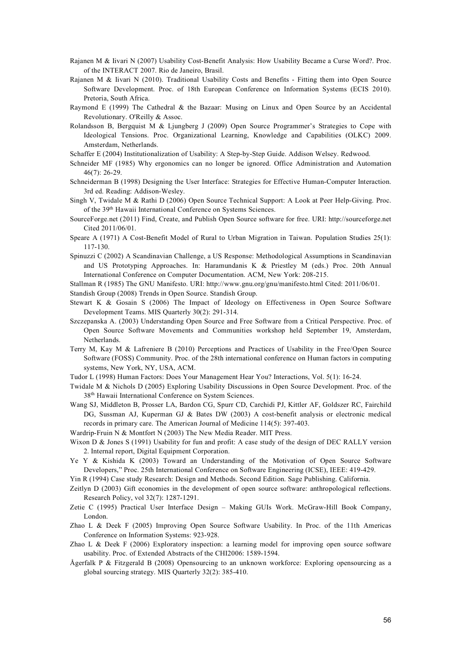- Rajanen M & Iivari N (2007) Usability Cost-Benefit Analysis: How Usability Became a Curse Word?. Proc. of the INTERACT 2007. Rio de Janeiro, Brasil.
- Rajanen M & Iivari N (2010). Traditional Usability Costs and Benefits Fitting them into Open Source Software Development. Proc. of 18th European Conference on Information Systems (ECIS 2010). Pretoria, South Africa.
- Raymond E (1999) The Cathedral & the Bazaar: Musing on Linux and Open Source by an Accidental Revolutionary. O'Reilly & Assoc.
- Rolandsson B, Bergquist M & Ljungberg J (2009) Open Source Programmer's Strategies to Cope with Ideological Tensions. Proc. Organizational Learning, Knowledge and Capabilities (OLKC) 2009. Amsterdam, Netherlands.
- Schaffer E (2004) Institutionalization of Usability: A Step-by-Step Guide. Addison Welsey. Redwood.
- Schneider MF (1985) Why ergonomics can no longer be ignored. Office Administration and Automation 46(7): 26-29.
- Schneiderman B (1998) Designing the User Interface: Strategies for Effective Human-Computer Interaction. 3rd ed. Reading: Addison-Wesley.
- Singh V, Twidale M & Rathi D (2006) Open Source Technical Support: A Look at Peer Help-Giving. Proc. of the 39<sup>th</sup> Hawaii International Conference on Systems Sciences.
- SourceForge.net (2011) Find, Create, and Publish Open Source software for free. URI: http://sourceforge.net Cited 2011/06/01.
- Speare A (1971) A Cost-Benefit Model of Rural to Urban Migration in Taiwan. Population Studies 25(1): 117-130.
- Spinuzzi C (2002) A Scandinavian Challenge, a US Response: Methodological Assumptions in Scandinavian and US Prototyping Approaches. In: Haramundanis K & Priestley M (eds.) Proc. 20th Annual International Conference on Computer Documentation. ACM, New York: 208-215.
- Stallman R (1985) The GNU Manifesto. URI: http://www.gnu.org/gnu/manifesto.html Cited: 2011/06/01.
- Standish Group (2008) Trends in Open Source. Standish Group.
- Stewart K & Gosain S (2006) The Impact of Ideology on Effectiveness in Open Source Software Development Teams. MIS Quarterly 30(2): 291-314.
- Szczepanska A. (2003) Understanding Open Source and Free Software from a Critical Perspective. Proc. of Open Source Software Movements and Communities workshop held September 19, Amsterdam, Netherlands.
- Terry M, Kay M & Lafreniere B (2010) Perceptions and Practices of Usability in the Free/Open Source Software (FOSS) Community. Proc. of the 28th international conference on Human factors in computing systems, New York, NY, USA, ACM.
- Tudor L (1998) Human Factors: Does Your Management Hear You? Interactions, Vol. 5(1): 16-24.
- Twidale M & Nichols D (2005) Exploring Usability Discussions in Open Source Development. Proc. of the 38th Hawaii International Conference on System Sciences.
- Wang SJ, Middleton B, Prosser LA, Bardon CG, Spurr CD, Carchidi PJ, Kittler AF, Goldszer RC, Fairchild DG, Sussman AJ, Kuperman GJ & Bates DW (2003) A cost-benefit analysis or electronic medical records in primary care. The American Journal of Medicine 114(5): 397-403.
- Wardrip-Fruin N & Montfort N (2003) The New Media Reader. MIT Press.
- Wixon D & Jones S (1991) Usability for fun and profit: A case study of the design of DEC RALLY version 2. Internal report, Digital Equipment Corporation.
- Ye Y & Kishida K (2003) Toward an Understanding of the Motivation of Open Source Software Developers," Proc. 25th International Conference on Software Engineering (ICSE), IEEE: 419-429.
- Yin R (1994) Case study Research: Design and Methods. Second Edition. Sage Publishing. California.
- Zeitlyn D (2003) Gift economies in the development of open source software: anthropological reflections. Research Policy, vol 32(7): 1287-1291.
- Zetie C (1995) Practical User Interface Design Making GUIs Work. McGraw-Hill Book Company, London.
- Zhao L & Deek F (2005) Improving Open Source Software Usability. In Proc. of the 11th Americas Conference on Information Systems: 923-928.
- Zhao L & Deek F (2006) Exploratory inspection: a learning model for improving open source software usability. Proc. of Extended Abstracts of the CHI2006: 1589-1594.
- Ågerfalk P & Fitzgerald B (2008) Opensourcing to an unknown workforce: Exploring opensourcing as a global sourcing strategy. MIS Quarterly 32(2): 385-410.